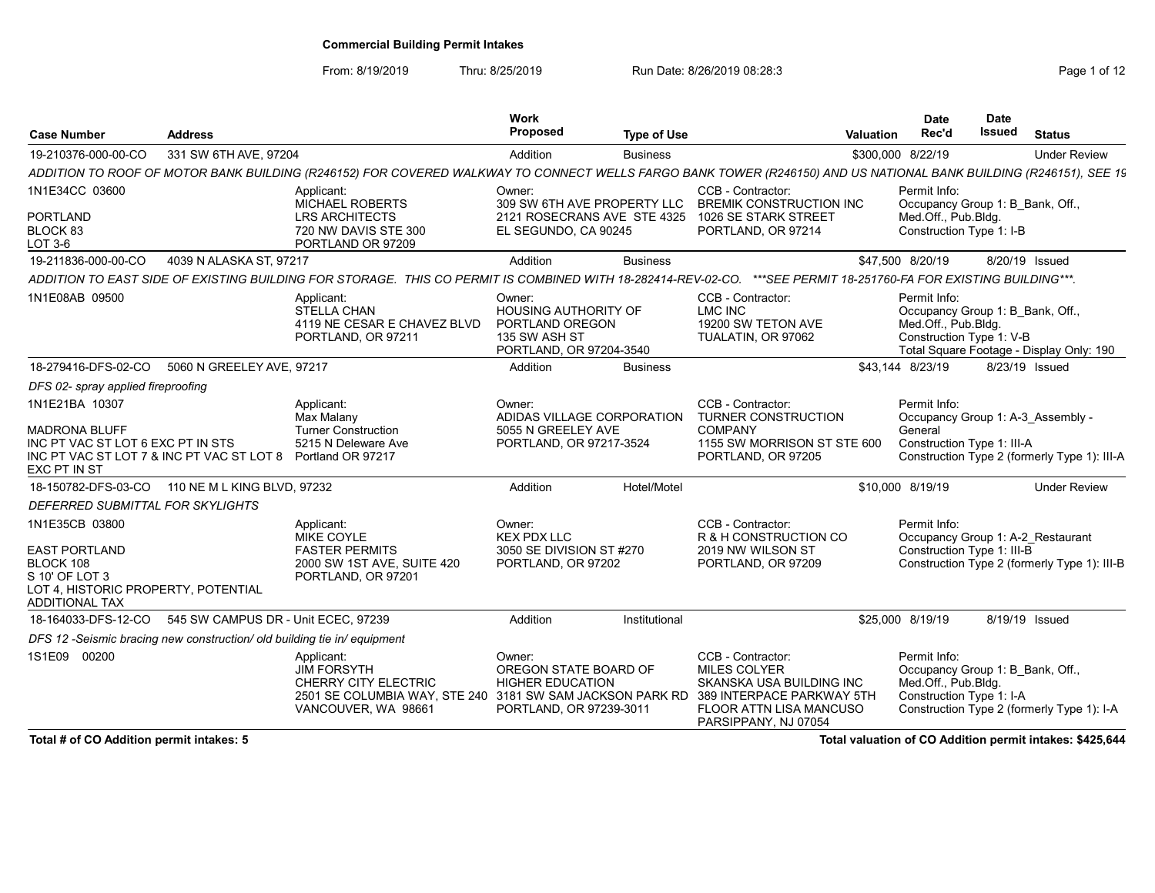From: 8/19/2019 Thru: 8/25/2019 Run Date: 8/26/2019 08:28:3<br>From: 8/19/2019 Thru: 8/25/2019 Run Date: 8/26/2019 08:28:3

| <b>Case Number</b>                                                                                                                       | <b>Address</b>                      |                                                                                                                                                                   | Work<br>Proposed                                                                                     | <b>Type of Use</b> |                                                                                                                                                             | Valuation | <b>Date</b><br>Rec'd                                                                                | <b>Date</b><br>Issued | <b>Status</b>                                |
|------------------------------------------------------------------------------------------------------------------------------------------|-------------------------------------|-------------------------------------------------------------------------------------------------------------------------------------------------------------------|------------------------------------------------------------------------------------------------------|--------------------|-------------------------------------------------------------------------------------------------------------------------------------------------------------|-----------|-----------------------------------------------------------------------------------------------------|-----------------------|----------------------------------------------|
| 19-210376-000-00-CO                                                                                                                      | 331 SW 6TH AVE, 97204               |                                                                                                                                                                   | Addition                                                                                             | <b>Business</b>    |                                                                                                                                                             |           | \$300,000 8/22/19                                                                                   |                       | <b>Under Review</b>                          |
|                                                                                                                                          |                                     | ADDITION TO ROOF OF MOTOR BANK BUILDING (R246152) FOR COVERED WALKWAY TO CONNECT WELLS FARGO BANK TOWER (R246150) AND US NATIONAL BANK BUILDING (R246151), SEE 19 |                                                                                                      |                    |                                                                                                                                                             |           |                                                                                                     |                       |                                              |
| 1N1E34CC 03600<br>PORTLAND<br>BLOCK 83<br>LOT 3-6                                                                                        |                                     | Applicant:<br><b>MICHAEL ROBERTS</b><br><b>LRS ARCHITECTS</b><br>720 NW DAVIS STE 300<br>PORTLAND OR 97209                                                        | Owner:<br>309 SW 6TH AVE PROPERTY LLC<br>EL SEGUNDO, CA 90245                                        |                    | CCB - Contractor:<br><b>BREMIK CONSTRUCTION INC</b><br>2121 ROSECRANS AVE STE 4325 1026 SE STARK STREET<br>PORTLAND, OR 97214                               |           | Permit Info:<br>Occupancy Group 1: B Bank, Off.,<br>Med.Off., Pub.Bldg.<br>Construction Type 1: I-B |                       |                                              |
| 19-211836-000-00-CO                                                                                                                      | 4039 N ALASKA ST, 97217             |                                                                                                                                                                   | Addition                                                                                             | <b>Business</b>    |                                                                                                                                                             |           | \$47,500 8/20/19                                                                                    |                       | 8/20/19 Issued                               |
|                                                                                                                                          |                                     | ADDITION TO EAST SIDE OF EXISTING BUILDING FOR STORAGE. THIS CO PERMIT IS COMBINED WITH 18-282414-REV-02-CO. ***SEE PERMIT 18-251760-FA FOR EXISTING BUILDING***. |                                                                                                      |                    |                                                                                                                                                             |           |                                                                                                     |                       |                                              |
| 1N1E08AB 09500                                                                                                                           |                                     | Applicant:<br><b>STELLA CHAN</b><br>4119 NE CESAR E CHAVEZ BLVD<br>PORTLAND, OR 97211                                                                             | Owner:<br><b>HOUSING AUTHORITY OF</b><br>PORTLAND OREGON<br>135 SW ASH ST<br>PORTLAND, OR 97204-3540 |                    | CCB - Contractor:<br><b>LMC INC</b><br>19200 SW TETON AVE<br>TUALATIN, OR 97062                                                                             |           | Permit Info:<br>Occupancy Group 1: B Bank, Off.,<br>Med.Off., Pub.Bldg.<br>Construction Type 1: V-B |                       | Total Square Footage - Display Only: 190     |
| 18-279416-DFS-02-CO                                                                                                                      | 5060 N GREELEY AVE, 97217           |                                                                                                                                                                   | Addition                                                                                             | <b>Business</b>    |                                                                                                                                                             |           | \$43.144 8/23/19                                                                                    |                       | 8/23/19 Issued                               |
| DFS 02- spray applied fireproofing                                                                                                       |                                     |                                                                                                                                                                   |                                                                                                      |                    |                                                                                                                                                             |           |                                                                                                     |                       |                                              |
| 1N1E21BA 10307<br><b>MADRONA BLUFF</b><br>INC PT VAC ST LOT 6 EXC PT IN STS<br>INC PT VAC ST LOT 7 & INC PT VAC ST LOT 8<br>EXC PT IN ST |                                     | Applicant:<br>Max Malany<br><b>Turner Construction</b><br>5215 N Deleware Ave<br>Portland OR 97217                                                                | Owner:<br>ADIDAS VILLAGE CORPORATION<br>5055 N GREELEY AVE<br>PORTLAND, OR 97217-3524                |                    | CCB - Contractor:<br><b>TURNER CONSTRUCTION</b><br><b>COMPANY</b><br>1155 SW MORRISON ST STE 600<br>PORTLAND, OR 97205                                      |           | Permit Info:<br>Occupancy Group 1: A-3 Assembly -<br>General<br>Construction Type 1: III-A          |                       | Construction Type 2 (formerly Type 1): III-A |
| 18-150782-DFS-03-CO                                                                                                                      | 110 NE M L KING BLVD, 97232         |                                                                                                                                                                   | Addition                                                                                             | Hotel/Motel        |                                                                                                                                                             |           | \$10,000 8/19/19                                                                                    |                       | <b>Under Review</b>                          |
| DEFERRED SUBMITTAL FOR SKYLIGHTS                                                                                                         |                                     |                                                                                                                                                                   |                                                                                                      |                    |                                                                                                                                                             |           |                                                                                                     |                       |                                              |
| 1N1E35CB 03800<br><b>EAST PORTLAND</b><br>BLOCK 108<br>S 10' OF LOT 3<br>LOT 4, HISTORIC PROPERTY, POTENTIAL<br><b>ADDITIONAL TAX</b>    |                                     | Applicant:<br><b>MIKE COYLE</b><br><b>FASTER PERMITS</b><br>2000 SW 1ST AVE, SUITE 420<br>PORTLAND, OR 97201                                                      | Owner:<br><b>KEX PDX LLC</b><br>3050 SE DIVISION ST #270<br>PORTLAND, OR 97202                       |                    | CCB - Contractor:<br>R & H CONSTRUCTION CO<br>2019 NW WILSON ST<br>PORTLAND, OR 97209                                                                       |           | Permit Info:<br>Occupancy Group 1: A-2 Restaurant<br>Construction Type 1: III-B                     |                       | Construction Type 2 (formerly Type 1): III-B |
| 18-164033-DFS-12-CO                                                                                                                      | 545 SW CAMPUS DR - Unit ECEC, 97239 |                                                                                                                                                                   | Addition                                                                                             | Institutional      |                                                                                                                                                             |           | \$25,000 8/19/19                                                                                    |                       | 8/19/19 Issued                               |
| DFS 12 -Seismic bracing new construction/old building tie in/equipment                                                                   |                                     |                                                                                                                                                                   |                                                                                                      |                    |                                                                                                                                                             |           |                                                                                                     |                       |                                              |
| 1S1E09<br>00200                                                                                                                          |                                     | Applicant:<br><b>JIM FORSYTH</b><br>CHERRY CITY ELECTRIC<br>2501 SE COLUMBIA WAY, STE 240 3181 SW SAM JACKSON PARK RD<br>VANCOUVER, WA 98661                      | Owner:<br>OREGON STATE BOARD OF<br><b>HIGHER EDUCATION</b><br>PORTLAND, OR 97239-3011                |                    | CCB - Contractor:<br><b>MILES COLYER</b><br>SKANSKA USA BUILDING INC<br>389 INTERPACE PARKWAY 5TH<br><b>FLOOR ATTN LISA MANCUSO</b><br>PARSIPPANY, NJ 07054 |           | Permit Info:<br>Occupancy Group 1: B Bank, Off.,<br>Med.Off., Pub.Bldg.<br>Construction Type 1: I-A |                       | Construction Type 2 (formerly Type 1): I-A   |

Total # of CO Addition permit intakes: 5 Total valuation of CO Addition permit intakes: \$425,644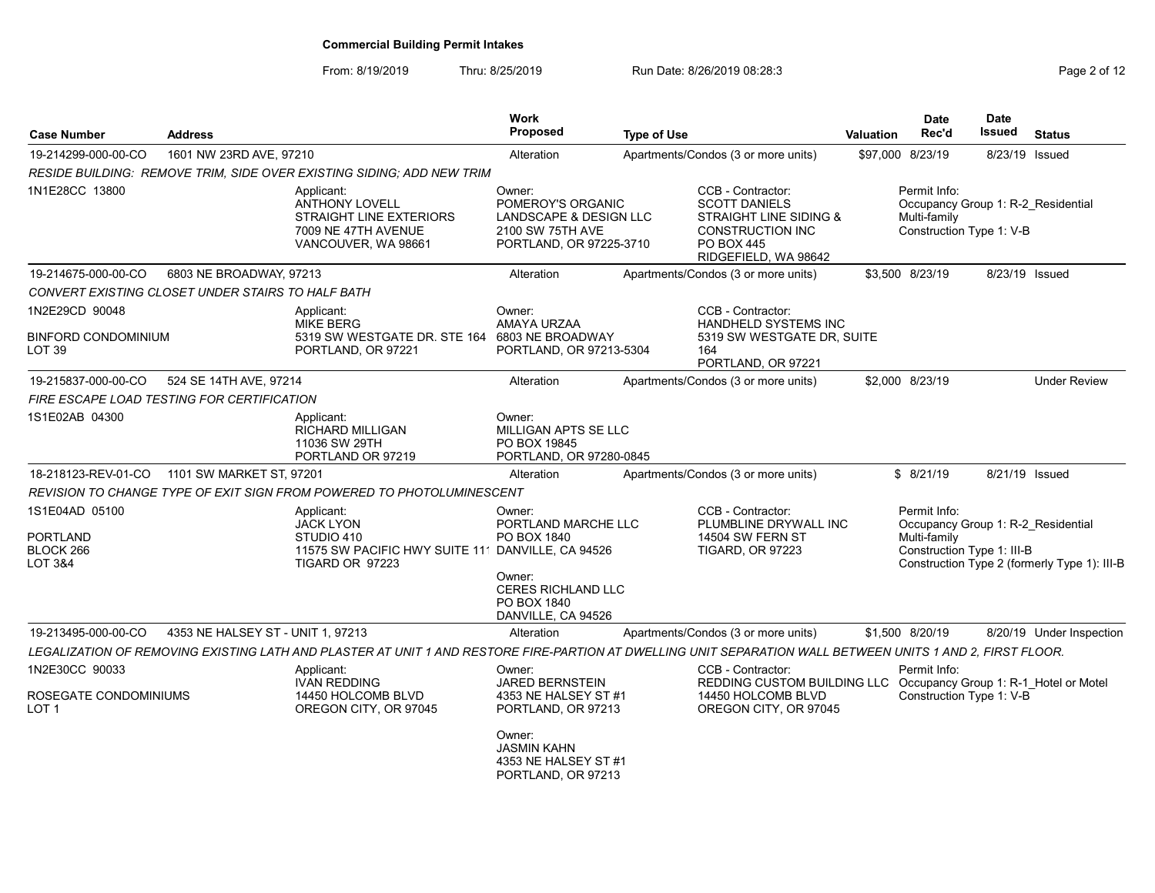| <b>Case Number</b>                                 | <b>Address</b>                    |                                                                                                                                                            | <b>Work</b><br><b>Proposed</b>                                                                                                                 | <b>Type of Use</b> |                                                                                                                                             | Valuation | <b>Date</b><br>Rec'd                                                                             | <b>Date</b><br>Issued | <b>Status</b>                                |
|----------------------------------------------------|-----------------------------------|------------------------------------------------------------------------------------------------------------------------------------------------------------|------------------------------------------------------------------------------------------------------------------------------------------------|--------------------|---------------------------------------------------------------------------------------------------------------------------------------------|-----------|--------------------------------------------------------------------------------------------------|-----------------------|----------------------------------------------|
| 19-214299-000-00-CO                                | 1601 NW 23RD AVE, 97210           |                                                                                                                                                            | Alteration                                                                                                                                     |                    | Apartments/Condos (3 or more units)                                                                                                         |           | \$97,000 8/23/19                                                                                 | 8/23/19 Issued        |                                              |
|                                                    |                                   | RESIDE BUILDING: REMOVE TRIM, SIDE OVER EXISTING SIDING; ADD NEW TRIM                                                                                      |                                                                                                                                                |                    |                                                                                                                                             |           |                                                                                                  |                       |                                              |
| 1N1E28CC 13800                                     |                                   | Applicant:<br>ANTHONY LOVELL<br><b>STRAIGHT LINE EXTERIORS</b><br>7009 NE 47TH AVENUE<br>VANCOUVER, WA 98661                                               | Owner:<br>POMEROY'S ORGANIC<br>LANDSCAPE & DESIGN LLC<br>2100 SW 75TH AVE<br>PORTLAND, OR 97225-3710                                           |                    | CCB - Contractor:<br><b>SCOTT DANIELS</b><br>STRAIGHT LINE SIDING &<br><b>CONSTRUCTION INC</b><br><b>PO BOX 445</b><br>RIDGEFIELD, WA 98642 |           | Permit Info:<br>Occupancy Group 1: R-2 Residential<br>Multi-family<br>Construction Type 1: V-B   |                       |                                              |
| 19-214675-000-00-CO                                | 6803 NE BROADWAY, 97213           |                                                                                                                                                            | Alteration                                                                                                                                     |                    | Apartments/Condos (3 or more units)                                                                                                         |           | \$3,500 8/23/19                                                                                  | 8/23/19 Issued        |                                              |
| CONVERT EXISTING CLOSET UNDER STAIRS TO HALF BATH  |                                   |                                                                                                                                                            |                                                                                                                                                |                    |                                                                                                                                             |           |                                                                                                  |                       |                                              |
| 1N2E29CD 90048                                     |                                   | Applicant:                                                                                                                                                 | Owner:                                                                                                                                         |                    | CCB - Contractor:                                                                                                                           |           |                                                                                                  |                       |                                              |
| <b>BINFORD CONDOMINIUM</b><br>LOT 39               |                                   | <b>MIKE BERG</b><br>5319 SW WESTGATE DR. STE 164<br>PORTLAND, OR 97221                                                                                     | AMAYA URZAA<br>6803 NE BROADWAY<br>PORTLAND, OR 97213-5304                                                                                     |                    | HANDHELD SYSTEMS INC<br>5319 SW WESTGATE DR, SUITE<br>164<br>PORTLAND, OR 97221                                                             |           |                                                                                                  |                       |                                              |
| 19-215837-000-00-CO                                | 524 SE 14TH AVE, 97214            |                                                                                                                                                            | Alteration                                                                                                                                     |                    | Apartments/Condos (3 or more units)                                                                                                         |           | \$2,000 8/23/19                                                                                  |                       | <b>Under Review</b>                          |
| FIRE ESCAPE LOAD TESTING FOR CERTIFICATION         |                                   |                                                                                                                                                            |                                                                                                                                                |                    |                                                                                                                                             |           |                                                                                                  |                       |                                              |
| 1S1E02AB 04300                                     |                                   | Applicant:<br>RICHARD MILLIGAN<br>11036 SW 29TH<br>PORTLAND OR 97219                                                                                       | Owner:<br>MILLIGAN APTS SE LLC<br>PO BOX 19845<br>PORTLAND, OR 97280-0845                                                                      |                    |                                                                                                                                             |           |                                                                                                  |                       |                                              |
| 18-218123-REV-01-CO 1101 SW MARKET ST. 97201       |                                   |                                                                                                                                                            | Alteration                                                                                                                                     |                    | Apartments/Condos (3 or more units)                                                                                                         |           | \$8/21/19                                                                                        | 8/21/19 Issued        |                                              |
|                                                    |                                   | REVISION TO CHANGE TYPE OF EXIT SIGN FROM POWERED TO PHOTOLUMINESCENT                                                                                      |                                                                                                                                                |                    |                                                                                                                                             |           |                                                                                                  |                       |                                              |
| 1S1E04AD 05100<br>PORTLAND<br>BLOCK 266<br>LOT 3&4 |                                   | Applicant:<br>JACK LYON<br>STUDIO 410<br>11575 SW PACIFIC HWY SUITE 111<br><b>TIGARD OR 97223</b>                                                          | Owner:<br>PORTLAND MARCHE LLC<br>PO BOX 1840<br>DANVILLE, CA 94526<br>Owner:<br><b>CERES RICHLAND LLC</b><br>PO BOX 1840<br>DANVILLE, CA 94526 |                    | CCB - Contractor:<br>PLUMBLINE DRYWALL INC<br><b>14504 SW FERN ST</b><br><b>TIGARD, OR 97223</b>                                            |           | Permit Info:<br>Occupancy Group 1: R-2 Residential<br>Multi-family<br>Construction Type 1: III-B |                       | Construction Type 2 (formerly Type 1): III-B |
| 19-213495-000-00-CO                                | 4353 NE HALSEY ST - UNIT 1, 97213 |                                                                                                                                                            | Alteration                                                                                                                                     |                    | Apartments/Condos (3 or more units)                                                                                                         |           | \$1,500 8/20/19                                                                                  |                       | 8/20/19 Under Inspection                     |
|                                                    |                                   | LEGALIZATION OF REMOVING EXISTING LATH AND PLASTER AT UNIT 1 AND RESTORE FIRE-PARTION AT DWELLING UNIT SEPARATION WALL BETWEEN UNITS 1 AND 2, FIRST FLOOR. |                                                                                                                                                |                    |                                                                                                                                             |           |                                                                                                  |                       |                                              |
| 1N2E30CC 90033                                     |                                   | Applicant:<br><b>IVAN REDDING</b>                                                                                                                          | Owner:<br><b>JARED BERNSTEIN</b>                                                                                                               |                    | CCB - Contractor:<br>REDDING CUSTOM BUILDING LLC Occupancy Group 1: R-1 Hotel or Motel                                                      |           | Permit Info:                                                                                     |                       |                                              |
| ROSEGATE CONDOMINIUMS<br>LOT <sub>1</sub>          |                                   | 14450 HOLCOMB BLVD<br>OREGON CITY, OR 97045                                                                                                                | 4353 NE HALSEY ST #1<br>PORTLAND, OR 97213                                                                                                     |                    | 14450 HOLCOMB BLVD<br>OREGON CITY, OR 97045                                                                                                 |           | Construction Type 1: V-B                                                                         |                       |                                              |
|                                                    |                                   |                                                                                                                                                            | Owner:<br><b>JASMIN KAHN</b><br>4353 NE HALSEY ST #1<br>PORTLAND, OR 97213                                                                     |                    |                                                                                                                                             |           |                                                                                                  |                       |                                              |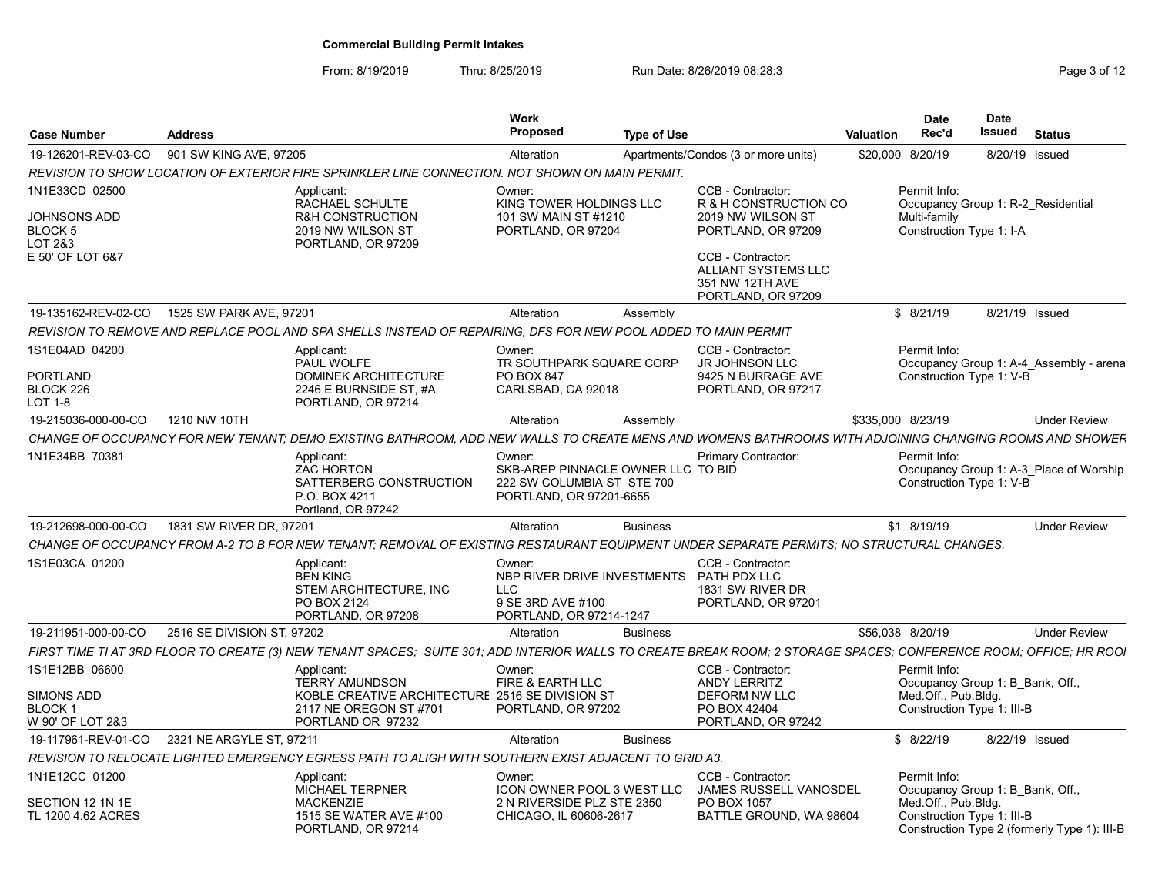| <b>Case Number</b>                               | <b>Address</b>          |                                                                                                                                                                    | Work<br>Proposed                                                                                | <b>Type of Use</b> |                                                                                   | Valuation         | Date<br>Rec'd                            | <b>Date</b><br>Issued<br>Status                                            |
|--------------------------------------------------|-------------------------|--------------------------------------------------------------------------------------------------------------------------------------------------------------------|-------------------------------------------------------------------------------------------------|--------------------|-----------------------------------------------------------------------------------|-------------------|------------------------------------------|----------------------------------------------------------------------------|
| 19-126201-REV-03-CO                              | 901 SW KING AVE, 97205  |                                                                                                                                                                    | Alteration                                                                                      |                    | Apartments/Condos (3 or more units)                                               | \$20,000 8/20/19  |                                          | 8/20/19 Issued                                                             |
|                                                  |                         | REVISION TO SHOW LOCATION OF EXTERIOR FIRE SPRINKLER LINE CONNECTION. NOT SHOWN ON MAIN PERMIT.                                                                    |                                                                                                 |                    |                                                                                   |                   |                                          |                                                                            |
| 1N1E33CD 02500                                   |                         | Applicant:                                                                                                                                                         | Owner:                                                                                          |                    | CCB - Contractor:                                                                 |                   | Permit Info:                             |                                                                            |
| <b>JOHNSONS ADD</b><br><b>BLOCK 5</b><br>LOT 2&3 |                         | RACHAEL SCHULTE<br><b>R&amp;H CONSTRUCTION</b><br>2019 NW WILSON ST<br>PORTLAND, OR 97209                                                                          | KING TOWER HOLDINGS LLC<br>101 SW MAIN ST #1210<br>PORTLAND, OR 97204                           |                    | R & H CONSTRUCTION CO<br>2019 NW WILSON ST<br>PORTLAND, OR 97209                  |                   | Multi-family<br>Construction Type 1: I-A | Occupancy Group 1: R-2_Residential                                         |
| E 50' OF LOT 6&7                                 |                         |                                                                                                                                                                    |                                                                                                 |                    | CCB - Contractor:<br>ALLIANT SYSTEMS LLC<br>351 NW 12TH AVE<br>PORTLAND, OR 97209 |                   |                                          |                                                                            |
| 19-135162-REV-02-CO  1525 SW PARK AVE, 97201     |                         |                                                                                                                                                                    | Alteration                                                                                      | Assembly           |                                                                                   |                   | \$8/21/19                                | 8/21/19 Issued                                                             |
|                                                  |                         | REVISION TO REMOVE AND REPLACE POOL AND SPA SHELLS INSTEAD OF REPAIRING, DFS FOR NEW POOL ADDED TO MAIN PERMIT                                                     |                                                                                                 |                    |                                                                                   |                   |                                          |                                                                            |
| 1S1E04AD 04200                                   |                         | Applicant:                                                                                                                                                         | Owner:                                                                                          |                    | CCB - Contractor:                                                                 |                   | Permit Info:                             |                                                                            |
| <b>PORTLAND</b><br>BLOCK 226<br>LOT 1-8          |                         | PAUL WOLFE<br><b>DOMINEK ARCHITECTURE</b><br>2246 E BURNSIDE ST, #A<br>PORTLAND, OR 97214                                                                          | TR SOUTHPARK SQUARE CORP<br>PO BOX 847<br>CARLSBAD, CA 92018                                    |                    | JR JOHNSON LLC<br>9425 N BURRAGE AVE<br>PORTLAND, OR 97217                        |                   |                                          | Occupancy Group 1: A-4_Assembly - arena<br>Construction Type 1: V-B        |
| 19-215036-000-00-CO                              | 1210 NW 10TH            |                                                                                                                                                                    | Alteration                                                                                      | Assembly           |                                                                                   | \$335,000 8/23/19 |                                          | <b>Under Review</b>                                                        |
|                                                  |                         | CHANGE OF OCCUPANCY FOR NEW TENANT; DEMO EXISTING BATHROOM, ADD NEW WALLS TO CREATE MENS AND WOMENS BATHROOMS WITH ADJOINING CHANGING ROOMS AND SHOWER             |                                                                                                 |                    |                                                                                   |                   |                                          |                                                                            |
| 1N1E34BB 70381                                   |                         | Applicant:                                                                                                                                                         | Owner:                                                                                          |                    | <b>Primary Contractor:</b>                                                        |                   | Permit Info:                             |                                                                            |
|                                                  |                         | <b>ZAC HORTON</b><br>SATTERBERG CONSTRUCTION<br>P.O. BOX 4211<br>Portland, OR 97242                                                                                | SKB-AREP PINNACLE OWNER LLC TO BID<br>222 SW COLUMBIA ST STE 700<br>PORTLAND, OR 97201-6655     |                    |                                                                                   |                   | Construction Type 1: V-B                 | Occupancy Group 1: A-3_Place of Worship                                    |
| 19-212698-000-00-CO                              | 1831 SW RIVER DR, 97201 |                                                                                                                                                                    | Alteration                                                                                      | <b>Business</b>    |                                                                                   |                   | \$1 8/19/19                              | <b>Under Review</b>                                                        |
|                                                  |                         | CHANGE OF OCCUPANCY FROM A-2 TO B FOR NEW TENANT; REMOVAL OF EXISTING RESTAURANT EQUIPMENT UNDER SEPARATE PERMITS; NO STRUCTURAL CHANGES.                          |                                                                                                 |                    |                                                                                   |                   |                                          |                                                                            |
| 1S1E03CA 01200                                   |                         | Applicant:                                                                                                                                                         | Owner:                                                                                          |                    | CCB - Contractor:                                                                 |                   |                                          |                                                                            |
|                                                  |                         | <b>BEN KING</b><br>STEM ARCHITECTURE, INC<br><b>PO BOX 2124</b><br>PORTLAND, OR 97208                                                                              | NBP RIVER DRIVE INVESTMENTS PATH PDX LLC<br>LLC<br>9 SE 3RD AVE #100<br>PORTLAND, OR 97214-1247 |                    | 1831 SW RIVER DR<br>PORTLAND, OR 97201                                            |                   |                                          |                                                                            |
| 19-211951-000-00-CO 2516 SE DIVISION ST, 97202   |                         |                                                                                                                                                                    | Alteration                                                                                      | <b>Business</b>    |                                                                                   | \$56,038 8/20/19  |                                          | <b>Under Review</b>                                                        |
|                                                  |                         | FIRST TIME TI AT 3RD FLOOR TO CREATE (3) NEW TENANT SPACES: SUITE 301: ADD INTERIOR WALLS TO CREATE BREAK ROOM: 2 STORAGE SPACES: CONFERENCE ROOM: OFFICE: HR ROOI |                                                                                                 |                    |                                                                                   |                   |                                          |                                                                            |
| 1S1E12BB 06600                                   |                         | Applicant:                                                                                                                                                         | Owner:                                                                                          |                    | CCB - Contractor:                                                                 |                   | Permit Info:                             |                                                                            |
|                                                  |                         | <b>TERRY AMUNDSON</b>                                                                                                                                              | FIRE & EARTH LLC                                                                                |                    | ANDY LERRITZ                                                                      |                   |                                          | Occupancy Group 1: B Bank, Off.,                                           |
| <b>SIMONS ADD</b><br><b>BLOCK1</b>               |                         | KOBLE CREATIVE ARCHITECTURE 2516 SE DIVISION ST<br>2117 NE OREGON ST #701                                                                                          | PORTLAND, OR 97202                                                                              |                    | DEFORM NW LLC<br>PO BOX 42404                                                     |                   | Med.Off., Pub.Bldg                       | Construction Type 1: III-B                                                 |
| W 90' OF LOT 2&3                                 |                         | PORTLAND OR 97232                                                                                                                                                  |                                                                                                 |                    | PORTLAND, OR 97242                                                                |                   |                                          |                                                                            |
| 19-117961-REV-01-CO 2321 NE ARGYLE ST, 97211     |                         |                                                                                                                                                                    | Alteration                                                                                      | <b>Business</b>    |                                                                                   |                   | \$8/22/19                                | 8/22/19 Issued                                                             |
|                                                  |                         | REVISION TO RELOCATE LIGHTED EMERGENCY EGRESS PATH TO ALIGH WITH SOUTHERN EXIST ADJACENT TO GRID A3.                                                               |                                                                                                 |                    |                                                                                   |                   |                                          |                                                                            |
| 1N1E12CC 01200                                   |                         | Applicant:                                                                                                                                                         | Owner:                                                                                          |                    | CCB - Contractor:                                                                 |                   | Permit Info:                             |                                                                            |
|                                                  |                         | <b>MICHAEL TERPNER</b>                                                                                                                                             | ICON OWNER POOL 3 WEST LLC                                                                      |                    | JAMES RUSSELL VANOSDEL                                                            |                   |                                          | Occupancy Group 1: B_Bank, Off.,                                           |
| SECTION 12 1N 1E                                 |                         | <b>MACKENZIE</b>                                                                                                                                                   | 2 N RIVERSIDE PLZ STE 2350                                                                      |                    | PO BOX 1057                                                                       |                   | Med.Off., Pub.Bldg                       |                                                                            |
| TL 1200 4.62 ACRES                               |                         | 1515 SE WATER AVE #100<br>PORTLAND, OR 97214                                                                                                                       | CHICAGO, IL 60606-2617                                                                          |                    | BATTLE GROUND, WA 98604                                                           |                   |                                          | Construction Type 1: III-B<br>Construction Type 2 (formerly Type 1): III-B |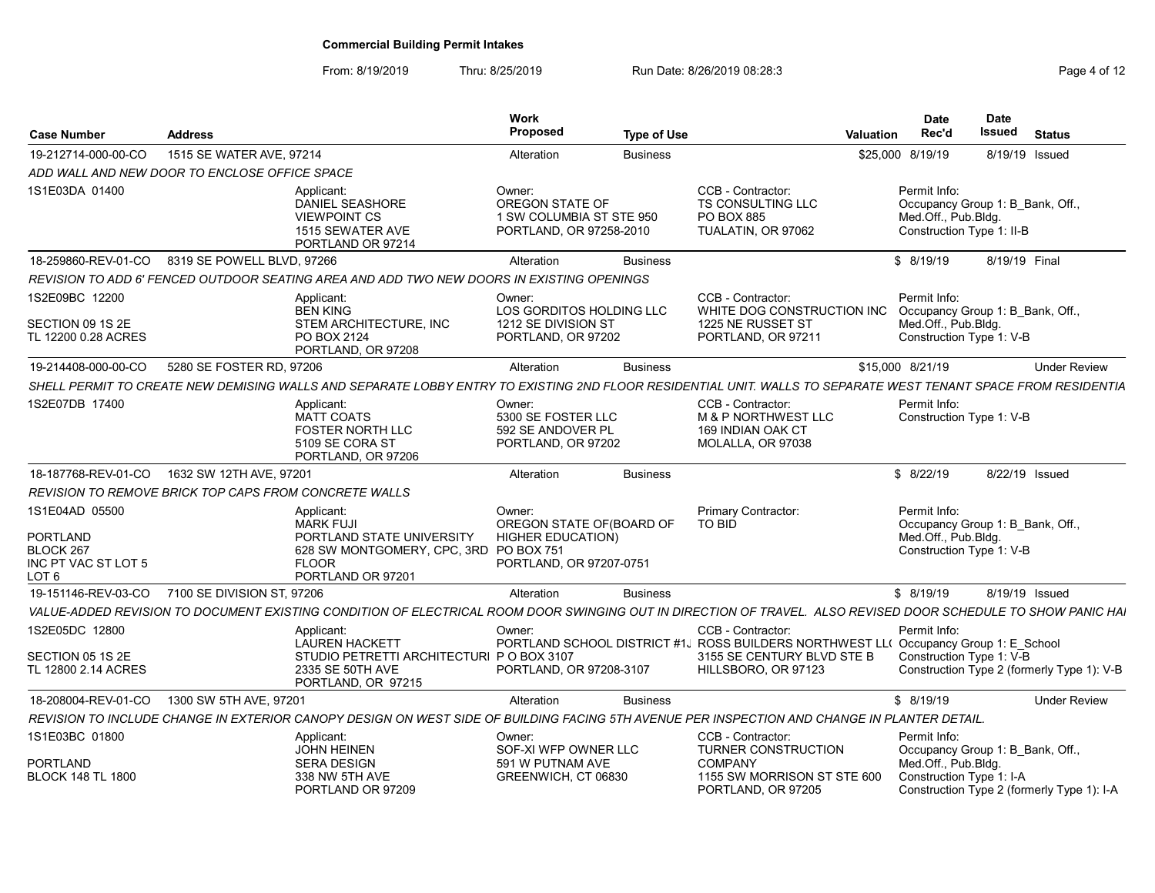| <b>Case Number</b>                                        | <b>Address</b>           |                                                                                                                                                                | Work<br>Proposed                                                                 | <b>Type of Use</b> |                                                                                                          | <b>Date</b><br>Rec'd<br>Valuation   | Date<br><b>Issued</b> Status                                           |
|-----------------------------------------------------------|--------------------------|----------------------------------------------------------------------------------------------------------------------------------------------------------------|----------------------------------------------------------------------------------|--------------------|----------------------------------------------------------------------------------------------------------|-------------------------------------|------------------------------------------------------------------------|
| 19-212714-000-00-CO                                       | 1515 SE WATER AVE, 97214 |                                                                                                                                                                | Alteration                                                                       | <b>Business</b>    |                                                                                                          | \$25,000 8/19/19                    | 8/19/19 Issued                                                         |
| ADD WALL AND NEW DOOR TO ENCLOSE OFFICE SPACE             |                          |                                                                                                                                                                |                                                                                  |                    |                                                                                                          |                                     |                                                                        |
| 1S1E03DA 01400                                            |                          | Applicant:<br>DANIEL SEASHORE<br><b>VIEWPOINT CS</b><br><b>1515 SEWATER AVE</b><br>PORTLAND OR 97214                                                           | Owner:<br>OREGON STATE OF<br>1 SW COLUMBIA ST STE 950<br>PORTLAND, OR 97258-2010 |                    | CCB - Contractor:<br>TS CONSULTING LLC<br><b>PO BOX 885</b><br>TUALATIN, OR 97062                        | Permit Info:<br>Med.Off., Pub.Bldg. | Occupancy Group 1: B Bank, Off.,<br>Construction Type 1: II-B          |
| 18-259860-REV-01-CO 8319 SE POWELL BLVD, 97266            |                          |                                                                                                                                                                | Alteration                                                                       | <b>Business</b>    |                                                                                                          | \$8/19/19                           | 8/19/19 Final                                                          |
|                                                           |                          | REVISION TO ADD 6' FENCED OUTDOOR SEATING AREA AND ADD TWO NEW DOORS IN EXISTING OPENINGS                                                                      |                                                                                  |                    |                                                                                                          |                                     |                                                                        |
| 1S2E09BC 12200<br>SECTION 09 1S 2E<br>TL 12200 0.28 ACRES |                          | Applicant:<br><b>BEN KING</b><br>STEM ARCHITECTURE. INC<br>PO BOX 2124<br>PORTLAND, OR 97208                                                                   | Owner:<br>LOS GORDITOS HOLDING LLC<br>1212 SE DIVISION ST<br>PORTLAND, OR 97202  |                    | CCB - Contractor:<br>WHITE DOG CONSTRUCTION INC<br>1225 NE RUSSET ST<br>PORTLAND, OR 97211               | Permit Info:<br>Med.Off., Pub.Bldg. | Occupancy Group 1: B Bank, Off.,<br>Construction Type 1: V-B           |
| 19-214408-000-00-CO                                       | 5280 SE FOSTER RD, 97206 |                                                                                                                                                                | Alteration                                                                       | <b>Business</b>    |                                                                                                          | \$15,000 8/21/19                    | <b>Under Review</b>                                                    |
|                                                           |                          | SHELL PERMIT TO CREATE NEW DEMISING WALLS AND SEPARATE LOBBY ENTRY TO EXISTING 2ND FLOOR RESIDENTIAL UNIT. WALLS TO SEPARATE WEST TENANT SPACE FROM RESIDENTIA |                                                                                  |                    |                                                                                                          |                                     |                                                                        |
| 1S2E07DB 17400                                            |                          | Applicant:<br>MATT COATS<br><b>FOSTER NORTH LLC</b><br>5109 SE CORA ST<br>PORTLAND, OR 97206                                                                   | Owner:<br>5300 SE FOSTER LLC<br>592 SE ANDOVER PL<br>PORTLAND, OR 97202          |                    | CCB - Contractor:<br><b>M &amp; P NORTHWEST LLC</b><br>169 INDIAN OAK CT<br>MOLALLA, OR 97038            | Permit Info:                        | Construction Type 1: V-B                                               |
| 18-187768-REV-01-CO  1632 SW 12TH AVE, 97201              |                          |                                                                                                                                                                | Alteration                                                                       | <b>Business</b>    |                                                                                                          | \$8/22/19                           | 8/22/19 Issued                                                         |
| REVISION TO REMOVE BRICK TOP CAPS FROM CONCRETE WALLS     |                          |                                                                                                                                                                |                                                                                  |                    |                                                                                                          |                                     |                                                                        |
| 1S1E04AD 05500                                            |                          | Applicant:<br>MARK FUJI                                                                                                                                        | Owner:<br>OREGON STATE OF(BOARD OF                                               |                    | Primary Contractor:<br>TO BID                                                                            | Permit Info:                        | Occupancy Group 1: B Bank, Off.,                                       |
| <b>PORTLAND</b><br>BLOCK 267                              |                          | PORTLAND STATE UNIVERSITY<br>628 SW MONTGOMERY, CPC, 3RD PO BOX 751                                                                                            | <b>HIGHER EDUCATION)</b>                                                         |                    |                                                                                                          | Med.Off., Pub.Bldg.                 | Construction Type 1: V-B                                               |
| INC PT VAC ST LOT 5                                       |                          | <b>FLOOR</b>                                                                                                                                                   | PORTLAND, OR 97207-0751                                                          |                    |                                                                                                          |                                     |                                                                        |
| LOT 6                                                     |                          | PORTLAND OR 97201                                                                                                                                              |                                                                                  |                    |                                                                                                          |                                     |                                                                        |
| 19-151146-REV-03-CO 7100 SE DIVISION ST, 97206            |                          |                                                                                                                                                                | Alteration                                                                       | <b>Business</b>    |                                                                                                          | \$ 8/19/19                          | 8/19/19 Issued                                                         |
|                                                           |                          | VALUE-ADDED REVISION TO DOCUMENT EXISTING CONDITION OF ELECTRICAL ROOM DOOR SWINGING OUT IN DIRECTION OF TRAVEL. ALSO REVISED DOOR SCHEDULE TO SHOW PANIC HAI  |                                                                                  |                    |                                                                                                          |                                     |                                                                        |
| 1S2E05DC 12800                                            |                          | Applicant:<br><b>LAUREN HACKETT</b>                                                                                                                            | Owner:                                                                           |                    | CCB - Contractor:<br>PORTLAND SCHOOL DISTRICT #1、ROSS BUILDERS NORTHWEST LL( Occupancy Group 1: E_School | Permit Info:                        |                                                                        |
| SECTION 05 1S 2E<br>TL 12800 2.14 ACRES                   |                          | STUDIO PETRETTI ARCHITECTURI P O BOX 3107<br>2335 SE 50TH AVE<br>PORTLAND, OR 97215                                                                            | PORTLAND, OR 97208-3107                                                          |                    | 3155 SE CENTURY BLVD STE B<br>HILLSBORO, OR 97123                                                        |                                     | Construction Type 1: V-B<br>Construction Type 2 (formerly Type 1): V-B |
| 18-208004-REV-01-CO                                       | 1300 SW 5TH AVE, 97201   |                                                                                                                                                                | Alteration                                                                       | <b>Business</b>    |                                                                                                          | \$8/19/19                           | <b>Under Review</b>                                                    |
|                                                           |                          | REVISION TO INCLUDE CHANGE IN EXTERIOR CANOPY DESIGN ON WEST SIDE OF BUILDING FACING 5TH AVENUE PER INSPECTION AND CHANGE IN PLANTER DETAIL.                   |                                                                                  |                    |                                                                                                          |                                     |                                                                        |
| 1S1E03BC 01800                                            |                          | Applicant:                                                                                                                                                     | Owner:                                                                           |                    | CCB - Contractor:                                                                                        | Permit Info:                        |                                                                        |
|                                                           |                          | <b>JOHN HEINEN</b>                                                                                                                                             | SOF-XI WFP OWNER LLC                                                             |                    | <b>TURNER CONSTRUCTION</b>                                                                               |                                     | Occupancy Group 1: B_Bank, Off.,                                       |
| <b>PORTLAND</b><br><b>BLOCK 148 TL 1800</b>               |                          | <b>SERA DESIGN</b><br>338 NW 5TH AVE<br>PORTLAND OR 97209                                                                                                      | 591 W PUTNAM AVE<br>GREENWICH, CT 06830                                          |                    | <b>COMPANY</b><br>1155 SW MORRISON ST STE 600<br>PORTLAND, OR 97205                                      | Med.Off., Pub.Bldg.                 | Construction Type 1: I-A<br>Construction Type 2 (formerly Type 1): I-A |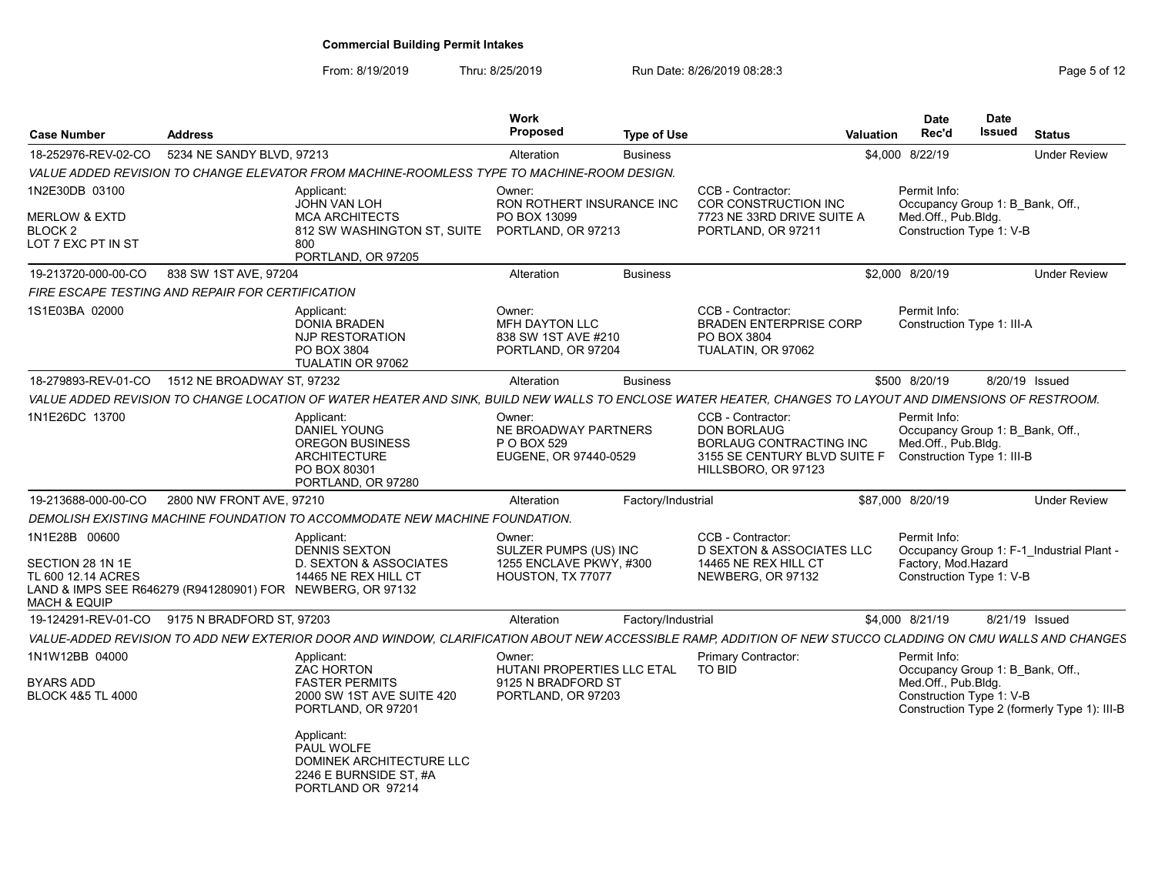| <b>Case Number</b><br><b>Address</b>                                                                                                                        |                                                                                                                                                                     | <b>Work</b><br><b>Proposed</b>                                                   | <b>Type of Use</b> | Valuation                                                                                                                 |                  | <b>Date</b><br>Rec'd                                              | <b>Date</b><br><b>Issued</b> | <b>Status</b>                                                                    |
|-------------------------------------------------------------------------------------------------------------------------------------------------------------|---------------------------------------------------------------------------------------------------------------------------------------------------------------------|----------------------------------------------------------------------------------|--------------------|---------------------------------------------------------------------------------------------------------------------------|------------------|-------------------------------------------------------------------|------------------------------|----------------------------------------------------------------------------------|
| 18-252976-REV-02-CO<br>5234 NE SANDY BLVD, 97213                                                                                                            |                                                                                                                                                                     | Alteration                                                                       | <b>Business</b>    |                                                                                                                           | \$4,000 8/22/19  |                                                                   |                              | <b>Under Review</b>                                                              |
| VALUE ADDED REVISION TO CHANGE ELEVATOR FROM MACHINE-ROOMLESS TYPE TO MACHINE-ROOM DESIGN.                                                                  |                                                                                                                                                                     |                                                                                  |                    |                                                                                                                           |                  |                                                                   |                              |                                                                                  |
| 1N2E30DB 03100<br><b>MERLOW &amp; EXTD</b><br>BLOCK <sub>2</sub><br>LOT 7 EXC PT IN ST                                                                      | Applicant:<br><b>JOHN VAN LOH</b><br><b>MCA ARCHITECTS</b><br>812 SW WASHINGTON ST, SUITE<br>800<br>PORTLAND, OR 97205                                              | Owner:<br>RON ROTHERT INSURANCE INC<br>PO BOX 13099<br>PORTLAND, OR 97213        |                    | CCB - Contractor:<br>COR CONSTRUCTION INC<br>7723 NE 33RD DRIVE SUITE A<br>PORTLAND, OR 97211                             |                  | Permit Info:<br>Med.Off., Pub.Bldg.<br>Construction Type 1: V-B   |                              | Occupancy Group 1: B Bank, Off.,                                                 |
| 838 SW 1ST AVE, 97204<br>19-213720-000-00-CO                                                                                                                |                                                                                                                                                                     | Alteration                                                                       | <b>Business</b>    |                                                                                                                           | \$2,000 8/20/19  |                                                                   |                              | <b>Under Review</b>                                                              |
| FIRE ESCAPE TESTING AND REPAIR FOR CERTIFICATION                                                                                                            |                                                                                                                                                                     |                                                                                  |                    |                                                                                                                           |                  |                                                                   |                              |                                                                                  |
| 1S1E03BA 02000                                                                                                                                              | Applicant:<br><b>DONIA BRADEN</b><br>NJP RESTORATION<br>PO BOX 3804<br>TUALATIN OR 97062                                                                            | Owner:<br><b>MFH DAYTON LLC</b><br>838 SW 1ST AVE #210<br>PORTLAND, OR 97204     |                    | CCB - Contractor:<br><b>BRADEN ENTERPRISE CORP</b><br>PO BOX 3804<br>TUALATIN, OR 97062                                   |                  | Permit Info:<br>Construction Type 1: III-A                        |                              |                                                                                  |
| 18-279893-REV-01-CO<br>1512 NE BROADWAY ST, 97232                                                                                                           |                                                                                                                                                                     | Alteration                                                                       | <b>Business</b>    |                                                                                                                           | \$500 8/20/19    |                                                                   |                              | 8/20/19 Issued                                                                   |
| VALUE ADDED REVISION TO CHANGE LOCATION OF WATER HEATER AND SINK. BUILD NEW WALLS TO ENCLOSE WATER HEATER. CHANGES TO LAYOUT AND DIMENSIONS OF RESTROOM.    |                                                                                                                                                                     |                                                                                  |                    |                                                                                                                           |                  |                                                                   |                              |                                                                                  |
| 1N1E26DC 13700                                                                                                                                              | Applicant:<br><b>DANIEL YOUNG</b><br>OREGON BUSINESS<br><b>ARCHITECTURE</b><br>PO BOX 80301<br>PORTLAND, OR 97280                                                   | Owner:<br>NE BROADWAY PARTNERS<br>P O BOX 529<br>EUGENE, OR 97440-0529           |                    | CCB - Contractor:<br><b>DON BORLAUG</b><br>BORLAUG CONTRACTING INC<br>3155 SE CENTURY BLVD SUITE F<br>HILLSBORO, OR 97123 |                  | Permit Info:<br>Med.Off., Pub.Bldg.<br>Construction Type 1: III-B |                              | Occupancy Group 1: B_Bank, Off.,                                                 |
| 19-213688-000-00-CO<br>2800 NW FRONT AVE, 97210                                                                                                             |                                                                                                                                                                     | Alteration                                                                       | Factory/Industrial |                                                                                                                           | \$87,000 8/20/19 |                                                                   |                              | <b>Under Review</b>                                                              |
| DEMOLISH EXISTING MACHINE FOUNDATION TO ACCOMMODATE NEW MACHINE FOUNDATION.                                                                                 |                                                                                                                                                                     |                                                                                  |                    |                                                                                                                           |                  |                                                                   |                              |                                                                                  |
| 1N1E28B 00600<br>SECTION 28 1N 1E<br>TL 600 12.14 ACRES<br>LAND & IMPS SEE R646279 (R941280901) FOR NEWBERG, OR 97132<br><b>MACH &amp; EQUIP</b>            | Applicant:<br><b>DENNIS SEXTON</b><br>D. SEXTON & ASSOCIATES<br>14465 NE REX HILL CT                                                                                | Owner:<br>SULZER PUMPS (US) INC<br>1255 ENCLAVE PKWY, #300<br>HOUSTON, TX 77077  |                    | CCB - Contractor:<br><b>D SEXTON &amp; ASSOCIATES LLC</b><br>14465 NE REX HILL CT<br>NEWBERG, OR 97132                    |                  | Permit Info:<br>Factory, Mod.Hazard<br>Construction Type 1: V-B   |                              | Occupancy Group 1: F-1 Industrial Plant -                                        |
| 9175 N BRADFORD ST, 97203<br>19-124291-REV-01-CO                                                                                                            |                                                                                                                                                                     | Alteration                                                                       | Factory/Industrial |                                                                                                                           | \$4,000 8/21/19  |                                                                   |                              | 8/21/19 Issued                                                                   |
| VALUE-ADDED REVISION TO ADD NEW EXTERIOR DOOR AND WINDOW, CLARIFICATION ABOUT NEW ACCESSIBLE RAMP, ADDITION OF NEW STUCCO CLADDING ON CMU WALLS AND CHANGES |                                                                                                                                                                     |                                                                                  |                    |                                                                                                                           |                  |                                                                   |                              |                                                                                  |
| 1N1W12BB 04000<br><b>BYARS ADD</b><br><b>BLOCK 4&amp;5 TL 4000</b>                                                                                          | Applicant:<br><b>ZAC HORTON</b><br><b>FASTER PERMITS</b><br>2000 SW 1ST AVE SUITE 420<br>PORTLAND, OR 97201<br>Applicant:<br>PAUL WOLFE<br>DOMINEK ARCHITECTURE LLC | Owner:<br>HUTANI PROPERTIES LLC ETAL<br>9125 N BRADFORD ST<br>PORTLAND, OR 97203 |                    | Primary Contractor:<br>TO BID                                                                                             |                  | Permit Info:<br>Med.Off., Pub.Bldg.<br>Construction Type 1: V-B   |                              | Occupancy Group 1: B Bank, Off.,<br>Construction Type 2 (formerly Type 1): III-B |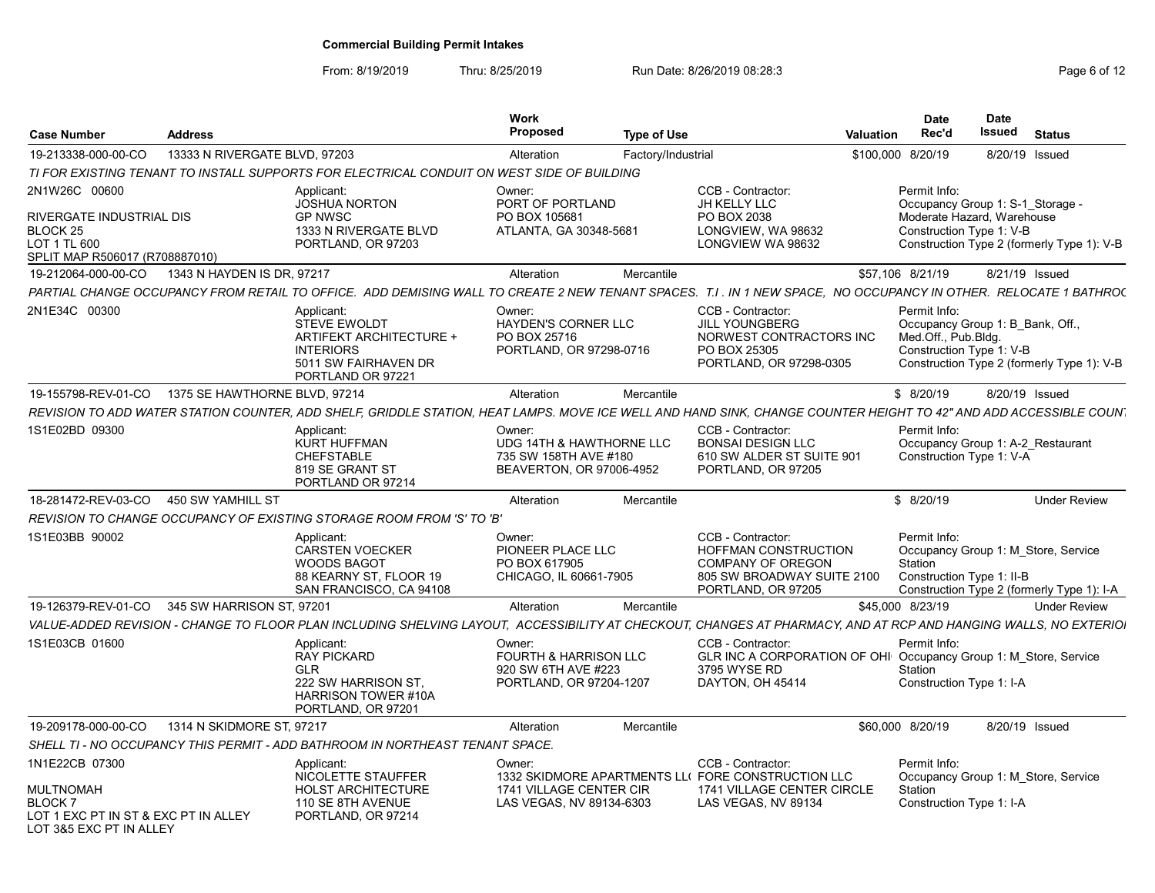| <b>Case Number</b>                                                                             | <b>Address</b>                |                                                                                                                                                                   | <b>Work</b><br><b>Proposed</b>                                                               | <b>Type of Use</b> |                                                                                                                           | Valuation | <b>Date</b><br>Rec'd                                                                                                                              | <b>Date</b><br>Issued | <b>Status</b> |                     |
|------------------------------------------------------------------------------------------------|-------------------------------|-------------------------------------------------------------------------------------------------------------------------------------------------------------------|----------------------------------------------------------------------------------------------|--------------------|---------------------------------------------------------------------------------------------------------------------------|-----------|---------------------------------------------------------------------------------------------------------------------------------------------------|-----------------------|---------------|---------------------|
| 19-213338-000-00-CO                                                                            | 13333 N RIVERGATE BLVD, 97203 |                                                                                                                                                                   | Alteration                                                                                   | Factory/Industrial |                                                                                                                           |           | \$100,000 8/20/19                                                                                                                                 | 8/20/19 Issued        |               |                     |
|                                                                                                |                               | TI FOR EXISTING TENANT TO INSTALL SUPPORTS FOR ELECTRICAL CONDUIT ON WEST SIDE OF BUILDING                                                                        |                                                                                              |                    |                                                                                                                           |           |                                                                                                                                                   |                       |               |                     |
| 2N1W26C 00600                                                                                  |                               | Applicant:<br><b>JOSHUA NORTON</b>                                                                                                                                | Owner:<br>PORT OF PORTLAND                                                                   |                    | CCB - Contractor:<br><b>JH KELLY LLC</b>                                                                                  |           | Permit Info:<br>Occupancy Group 1: S-1 Storage -                                                                                                  |                       |               |                     |
| RIVERGATE INDUSTRIAL DIS<br>BLOCK 25<br>LOT 1 TL 600<br>SPLIT MAP R506017 (R708887010)         |                               | <b>GP NWSC</b><br>1333 N RIVERGATE BLVD<br>PORTLAND, OR 97203                                                                                                     | PO BOX 105681<br>ATLANTA, GA 30348-5681                                                      |                    | PO BOX 2038<br>LONGVIEW, WA 98632<br>LONGVIEW WA 98632                                                                    |           | Moderate Hazard, Warehouse<br>Construction Type 1: V-B<br>Construction Type 2 (formerly Type 1): V-B                                              |                       |               |                     |
| 19-212064-000-00-CO                                                                            | 1343 N HAYDEN IS DR, 97217    |                                                                                                                                                                   | Alteration                                                                                   | Mercantile         |                                                                                                                           |           | \$57,106 8/21/19                                                                                                                                  | 8/21/19 Issued        |               |                     |
|                                                                                                |                               | PARTIAL CHANGE OCCUPANCY FROM RETAIL TO OFFICE. ADD DEMISING WALL TO CREATE 2 NEW TENANT SPACES. T.I. IN 1 NEW SPACE, NO OCCUPANCY IN OTHER. RELOCATE 1 BATHRO(   |                                                                                              |                    |                                                                                                                           |           |                                                                                                                                                   |                       |               |                     |
| 2N1E34C 00300                                                                                  |                               | Applicant:<br><b>STEVE EWOLDT</b><br>ARTIFEKT ARCHITECTURE +<br><b>INTERIORS</b><br>5011 SW FAIRHAVEN DR<br>PORTLAND OR 97221                                     | Owner:<br>HAYDEN'S CORNER LLC<br>PO BOX 25716<br>PORTLAND, OR 97298-0716                     |                    | CCB - Contractor:<br><b>JILL YOUNGBERG</b><br>NORWEST CONTRACTORS INC<br>PO BOX 25305<br>PORTLAND, OR 97298-0305          |           | Permit Info:<br>Occupancy Group 1: B Bank, Off.,<br>Med.Off., Pub.Bldg.<br>Construction Type 1: V-B<br>Construction Type 2 (formerly Type 1): V-B |                       |               |                     |
| 19-155798-REV-01-CO  1375 SE HAWTHORNE BLVD, 97214                                             |                               |                                                                                                                                                                   | Alteration                                                                                   | Mercantile         |                                                                                                                           |           | \$8/20/19                                                                                                                                         | 8/20/19 Issued        |               |                     |
|                                                                                                |                               | REVISION TO ADD WATER STATION COUNTER, ADD SHELF, GRIDDLE STATION, HEAT LAMPS. MOVE ICE WELL AND HAND SINK, CHANGE COUNTER HEIGHT TO 42" AND ADD ACCESSIBLE COUNT |                                                                                              |                    |                                                                                                                           |           |                                                                                                                                                   |                       |               |                     |
| 1S1E02BD 09300                                                                                 |                               | Applicant:<br><b>KURT HUFFMAN</b><br><b>CHEFSTABLE</b><br>819 SE GRANT ST<br>PORTLAND OR 97214                                                                    | Owner:<br>UDG 14TH & HAWTHORNE LLC<br>735 SW 158TH AVE #180<br>BEAVERTON, OR 97006-4952      |                    | <b>CCB - Contractor:</b><br><b>BONSAI DESIGN LLC</b><br>610 SW ALDER ST SUITE 901<br>PORTLAND, OR 97205                   |           | Permit Info:<br>Occupancy Group 1: A-2 Restaurant<br>Construction Type 1: V-A                                                                     |                       |               |                     |
| 18-281472-REV-03-CO                                                                            | 450 SW YAMHILL ST             |                                                                                                                                                                   | Alteration                                                                                   | Mercantile         |                                                                                                                           |           | \$8/20/19                                                                                                                                         |                       |               | <b>Under Review</b> |
|                                                                                                |                               | REVISION TO CHANGE OCCUPANCY OF EXISTING STORAGE ROOM FROM 'S' TO 'B'                                                                                             |                                                                                              |                    |                                                                                                                           |           |                                                                                                                                                   |                       |               |                     |
| 1S1E03BB 90002                                                                                 |                               | Applicant:<br><b>CARSTEN VOECKER</b><br><b>WOODS BAGOT</b><br>88 KEARNY ST, FLOOR 19<br>SAN FRANCISCO, CA 94108                                                   | Owner:<br>PIONEER PLACE LLC<br>PO BOX 617905<br>CHICAGO, IL 60661-7905                       |                    | CCB - Contractor:<br>HOFFMAN CONSTRUCTION<br><b>COMPANY OF OREGON</b><br>805 SW BROADWAY SUITE 2100<br>PORTLAND, OR 97205 |           | Permit Info:<br>Occupancy Group 1: M Store, Service<br>Station<br>Construction Type 1: II-B<br>Construction Type 2 (formerly Type 1): I-A         |                       |               |                     |
| 19-126379-REV-01-CO 345 SW HARRISON ST, 97201                                                  |                               |                                                                                                                                                                   | Alteration                                                                                   | Mercantile         |                                                                                                                           |           | \$45,000 8/23/19                                                                                                                                  |                       |               | <b>Under Review</b> |
|                                                                                                |                               | VALUE-ADDED REVISION - CHANGE TO FLOOR PLAN INCLUDING SHELVING LAYOUT. ACCESSIBILITY AT CHECKOUT, CHANGES AT PHARMACY, AND AT RCP AND HANGING WALLS, NO EXTERIOI  |                                                                                              |                    |                                                                                                                           |           |                                                                                                                                                   |                       |               |                     |
| 1S1E03CB 01600                                                                                 |                               | Applicant:<br><b>RAY PICKARD</b><br><b>GLR</b><br>222 SW HARRISON ST,<br><b>HARRISON TOWER #10A</b><br>PORTLAND, OR 97201                                         | Owner:<br><b>FOURTH &amp; HARRISON LLC</b><br>920 SW 6TH AVE #223<br>PORTLAND, OR 97204-1207 |                    | CCB - Contractor:<br>GLR INC A CORPORATION OF OHI Occupancy Group 1: M Store, Service<br>3795 WYSE RD<br>DAYTON, OH 45414 |           | Permit Info:<br>Station<br>Construction Type 1: I-A                                                                                               |                       |               |                     |
| 19-209178-000-00-CO                                                                            | 1314 N SKIDMORE ST, 97217     |                                                                                                                                                                   | Alteration                                                                                   | Mercantile         |                                                                                                                           |           | \$60,000 8/20/19                                                                                                                                  | 8/20/19 Issued        |               |                     |
|                                                                                                |                               | SHELL TI - NO OCCUPANCY THIS PERMIT - ADD BATHROOM IN NORTHEAST TENANT SPACE.                                                                                     |                                                                                              |                    |                                                                                                                           |           |                                                                                                                                                   |                       |               |                     |
| 1N1E22CB 07300                                                                                 |                               | Applicant:                                                                                                                                                        | Owner:                                                                                       |                    | CCB - Contractor:                                                                                                         |           | Permit Info:                                                                                                                                      |                       |               |                     |
| MULTNOMAH<br><b>BLOCK 7</b><br>LOT 1 EXC PT IN ST & EXC PT IN ALLEY<br>LOT 3&5 EXC PT IN ALLEY |                               | NICOLETTE STAUFFER<br><b>HOLST ARCHITECTURE</b><br>110 SE 8TH AVENUE<br>PORTLAND, OR 97214                                                                        | 1741 VILLAGE CENTER CIR<br>LAS VEGAS, NV 89134-6303                                          |                    | 1332 SKIDMORE APARTMENTS LLI FORE CONSTRUCTION LLC<br>1741 VILLAGE CENTER CIRCLE<br>LAS VEGAS, NV 89134                   |           | Occupancy Group 1: M Store, Service<br>Station<br>Construction Type 1: I-A                                                                        |                       |               |                     |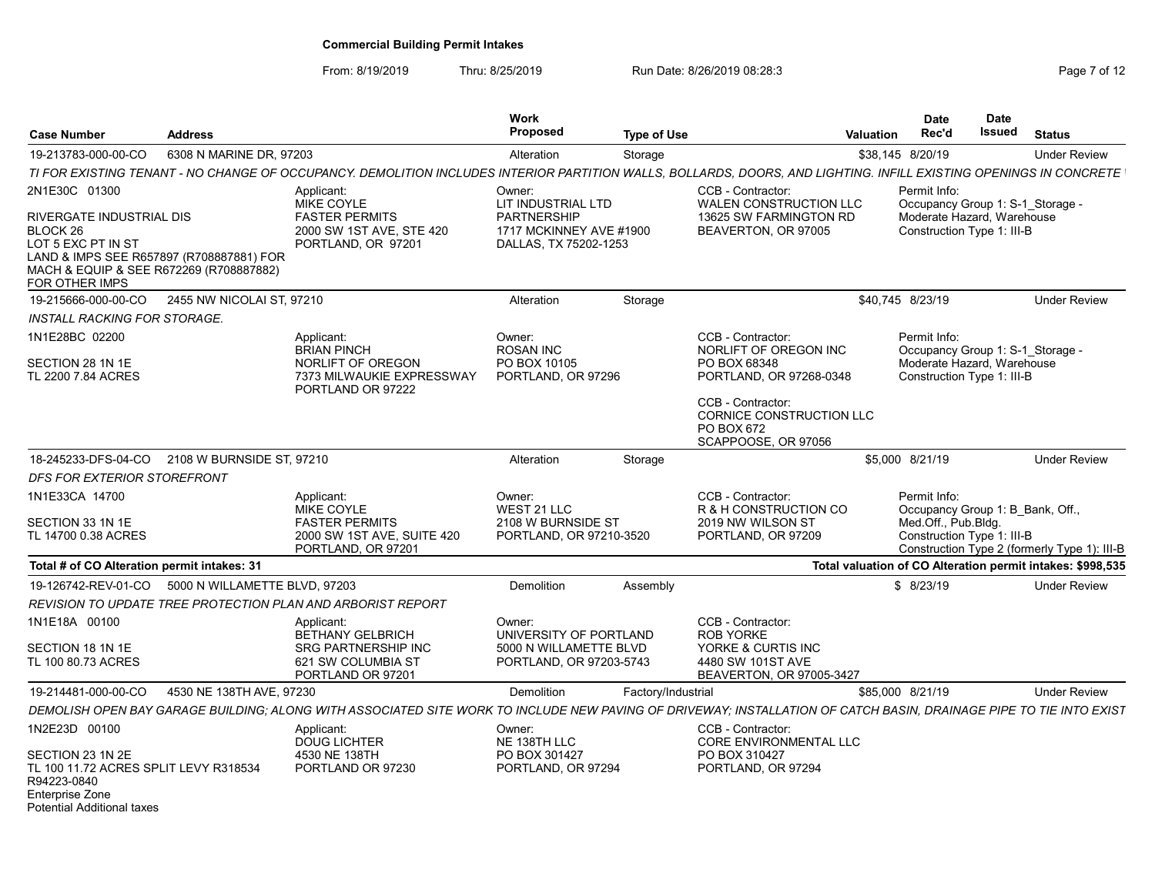| <b>Case Number</b>                                                                                                                                                  | <b>Address</b>            |                                                                                                                                                                    | Work<br><b>Proposed</b>                                                | <b>Type of Use</b> |                                                                                       | Valuation | Date<br>Rec'd                                                                                                | <b>Date</b><br><b>Issued</b> | <b>Status</b> |                     |
|---------------------------------------------------------------------------------------------------------------------------------------------------------------------|---------------------------|--------------------------------------------------------------------------------------------------------------------------------------------------------------------|------------------------------------------------------------------------|--------------------|---------------------------------------------------------------------------------------|-----------|--------------------------------------------------------------------------------------------------------------|------------------------------|---------------|---------------------|
| 19-213783-000-00-CO                                                                                                                                                 | 6308 N MARINE DR, 97203   |                                                                                                                                                                    | Alteration                                                             | Storage            |                                                                                       |           | \$38,145 8/20/19                                                                                             |                              |               | <b>Under Review</b> |
|                                                                                                                                                                     |                           | TI FOR EXISTING TENANT - NO CHANGE OF OCCUPANCY. DEMOLITION INCLUDES INTERIOR PARTITION WALLS, BOLLARDS, DOORS, AND LIGHTING. INFILL EXISTING OPENINGS IN CONCRETE |                                                                        |                    |                                                                                       |           |                                                                                                              |                              |               |                     |
| 2N1E30C 01300                                                                                                                                                       |                           | Applicant:<br><b>MIKE COYLE</b>                                                                                                                                    | Owner:<br>LIT INDUSTRIAL LTD                                           |                    | CCB - Contractor:<br><b>WALEN CONSTRUCTION LLC</b>                                    |           | Permit Info:<br>Occupancy Group 1: S-1 Storage -                                                             |                              |               |                     |
| RIVERGATE INDUSTRIAL DIS<br>BLOCK 26<br>LOT 5 EXC PT IN ST<br>LAND & IMPS SEE R657897 (R708887881) FOR<br>MACH & EQUIP & SEE R672269 (R708887882)<br>FOR OTHER IMPS |                           | <b>FASTER PERMITS</b><br>2000 SW 1ST AVE, STE 420<br>PORTLAND, OR 97201                                                                                            | <b>PARTNERSHIP</b><br>1717 MCKINNEY AVE #1900<br>DALLAS, TX 75202-1253 |                    | 13625 SW FARMINGTON RD<br>BEAVERTON, OR 97005                                         |           | Moderate Hazard, Warehouse<br>Construction Type 1: III-B                                                     |                              |               |                     |
| 19-215666-000-00-CO                                                                                                                                                 | 2455 NW NICOLAI ST. 97210 |                                                                                                                                                                    | Alteration                                                             | Storage            |                                                                                       |           | \$40,745 8/23/19                                                                                             |                              |               | <b>Under Review</b> |
| <b>INSTALL RACKING FOR STORAGE.</b>                                                                                                                                 |                           |                                                                                                                                                                    |                                                                        |                    |                                                                                       |           |                                                                                                              |                              |               |                     |
| 1N1E28BC 02200<br>SECTION 28 1N 1E<br>TL 2200 7.84 ACRES                                                                                                            |                           | Applicant:<br><b>BRIAN PINCH</b><br>NORLIFT OF OREGON<br>7373 MILWAUKIE EXPRESSWAY                                                                                 | Owner:<br><b>ROSAN INC</b><br>PO BOX 10105<br>PORTLAND, OR 97296       |                    | CCB - Contractor:<br>NORLIFT OF OREGON INC<br>PO BOX 68348<br>PORTLAND, OR 97268-0348 |           | Permit Info:<br>Occupancy Group 1: S-1 Storage -<br>Moderate Hazard, Warehouse<br>Construction Type 1: III-B |                              |               |                     |
|                                                                                                                                                                     |                           | PORTLAND OR 97222                                                                                                                                                  |                                                                        |                    | CCB - Contractor:<br>CORNICE CONSTRUCTION LLC<br>PO BOX 672<br>SCAPPOOSE, OR 97056    |           |                                                                                                              |                              |               |                     |
| 18-245233-DFS-04-CO 2108 W BURNSIDE ST, 97210                                                                                                                       |                           |                                                                                                                                                                    | Alteration                                                             | Storage            |                                                                                       |           | \$5,000 8/21/19                                                                                              |                              |               | <b>Under Review</b> |
| <b>DFS FOR EXTERIOR STOREFRONT</b>                                                                                                                                  |                           |                                                                                                                                                                    |                                                                        |                    |                                                                                       |           |                                                                                                              |                              |               |                     |
| 1N1E33CA 14700<br>SECTION 33 1N 1E                                                                                                                                  |                           | Applicant:<br><b>MIKE COYLE</b><br><b>FASTER PERMITS</b>                                                                                                           | Owner:<br>WEST 21 LLC<br>2108 W BURNSIDE ST                            |                    | CCB - Contractor:<br>R & H CONSTRUCTION CO<br>2019 NW WILSON ST                       |           | Permit Info:<br>Occupancy Group 1: B Bank, Off.,<br>Med.Off., Pub.Bldg.                                      |                              |               |                     |
| TL 14700 0.38 ACRES                                                                                                                                                 |                           | 2000 SW 1ST AVE, SUITE 420<br>PORTLAND, OR 97201                                                                                                                   | PORTLAND, OR 97210-3520                                                |                    | PORTLAND, OR 97209                                                                    |           | Construction Type 1: III-B<br>Construction Type 2 (formerly Type 1): III-B                                   |                              |               |                     |
| Total # of CO Alteration permit intakes: 31                                                                                                                         |                           |                                                                                                                                                                    |                                                                        |                    |                                                                                       |           | Total valuation of CO Alteration permit intakes: \$998,535                                                   |                              |               |                     |
| 19-126742-REV-01-CO 5000 N WILLAMETTE BLVD, 97203                                                                                                                   |                           |                                                                                                                                                                    | Demolition                                                             | Assembly           |                                                                                       |           | \$8/23/19                                                                                                    |                              |               | <b>Under Review</b> |
|                                                                                                                                                                     |                           | REVISION TO UPDATE TREE PROTECTION PLAN AND ARBORIST REPORT                                                                                                        |                                                                        |                    |                                                                                       |           |                                                                                                              |                              |               |                     |
| 1N1E18A 00100                                                                                                                                                       |                           | Applicant:<br><b>BETHANY GELBRICH</b>                                                                                                                              | Owner:<br>UNIVERSITY OF PORTLAND                                       |                    | CCB - Contractor:<br><b>ROB YORKE</b>                                                 |           |                                                                                                              |                              |               |                     |
| SECTION 18 1N 1E<br>TL 100 80.73 ACRES                                                                                                                              |                           | <b>SRG PARTNERSHIP INC</b><br>621 SW COLUMBIA ST<br>PORTLAND OR 97201                                                                                              | 5000 N WILLAMETTE BLVD<br>PORTLAND, OR 97203-5743                      |                    | YORKE & CURTIS INC<br>4480 SW 101ST AVE<br>BEAVERTON, OR 97005-3427                   |           |                                                                                                              |                              |               |                     |
| 19-214481-000-00-CO                                                                                                                                                 | 4530 NE 138TH AVE, 97230  |                                                                                                                                                                    | Demolition                                                             | Factory/Industrial |                                                                                       |           | \$85,000 8/21/19                                                                                             |                              |               | <b>Under Review</b> |
|                                                                                                                                                                     |                           | DEMOLISH OPEN BAY GARAGE BUILDING; ALONG WITH ASSOCIATED SITE WORK TO INCLUDE NEW PAVING OF DRIVEWAY; INSTALLATION OF CATCH BASIN, DRAINAGE PIPE TO TIE INTO EXIST |                                                                        |                    |                                                                                       |           |                                                                                                              |                              |               |                     |
| 1N2E23D 00100                                                                                                                                                       |                           | Applicant:<br><b>DOUG LICHTER</b>                                                                                                                                  | Owner:<br>NE 138TH LLC                                                 |                    | CCB - Contractor:<br>CORE ENVIRONMENTAL LLC                                           |           |                                                                                                              |                              |               |                     |
| SECTION 23 1N 2E<br>TL 100 11.72 ACRES SPLIT LEVY R318534<br>R94223-0840<br><b>Enterprise Zone</b>                                                                  |                           | 4530 NE 138TH<br>PORTLAND OR 97230                                                                                                                                 | PO BOX 301427<br>PORTLAND, OR 97294                                    |                    | PO BOX 310427<br>PORTLAND, OR 97294                                                   |           |                                                                                                              |                              |               |                     |
| <b>Potential Additional taxes</b>                                                                                                                                   |                           |                                                                                                                                                                    |                                                                        |                    |                                                                                       |           |                                                                                                              |                              |               |                     |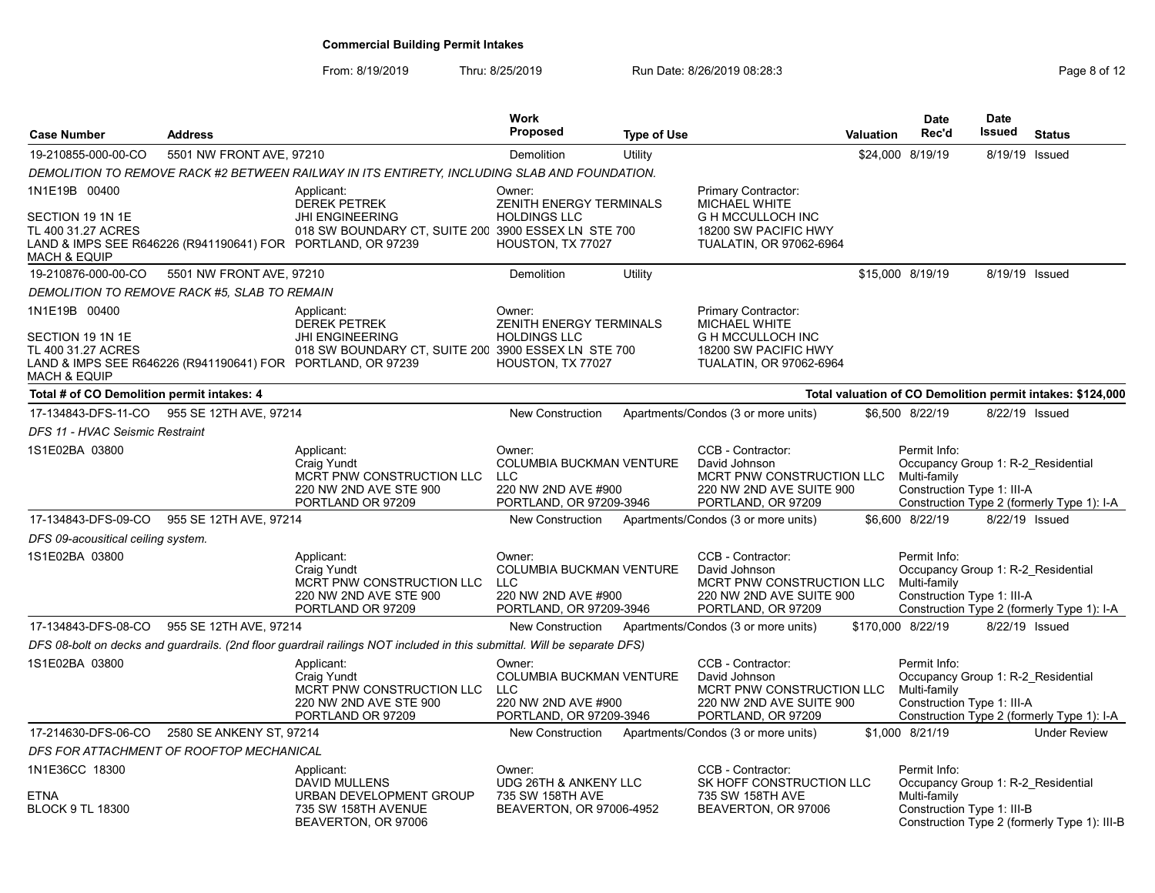| <b>Case Number</b>                                                                                                                                | <b>Address</b>           |                                                                                                                          | Work<br>Proposed                                                                                          | <b>Type of Use</b> |                                                                                                                            | Valuation | <b>Date</b><br>Rec'd                                                                             | <b>Date</b><br>Issued | <b>Status</b>                                              |
|---------------------------------------------------------------------------------------------------------------------------------------------------|--------------------------|--------------------------------------------------------------------------------------------------------------------------|-----------------------------------------------------------------------------------------------------------|--------------------|----------------------------------------------------------------------------------------------------------------------------|-----------|--------------------------------------------------------------------------------------------------|-----------------------|------------------------------------------------------------|
| 19-210855-000-00-CO                                                                                                                               | 5501 NW FRONT AVE, 97210 |                                                                                                                          | Demolition                                                                                                | Utility            |                                                                                                                            |           | \$24,000 8/19/19                                                                                 | 8/19/19               | Issued                                                     |
|                                                                                                                                                   |                          | DEMOLITION TO REMOVE RACK #2 BETWEEN RAILWAY IN ITS ENTIRETY, INCLUDING SLAB AND FOUNDATION.                             |                                                                                                           |                    |                                                                                                                            |           |                                                                                                  |                       |                                                            |
| 1N1E19B 00400<br>SECTION 19 1N 1E<br>TL 400 31.27 ACRES<br>LAND & IMPS SEE R646226 (R941190641) FOR PORTLAND, OR 97239<br><b>MACH &amp; EQUIP</b> |                          | Applicant:<br><b>DEREK PETREK</b><br><b>JHI ENGINEERING</b><br>018 SW BOUNDARY CT, SUITE 200 3900 ESSEX LN STE 700       | Owner:<br>ZENITH ENERGY TERMINALS<br><b>HOLDINGS LLC</b><br>HOUSTON, TX 77027                             |                    | <b>Primary Contractor:</b><br>MICHAEL WHITE<br><b>G H MCCULLOCH INC</b><br>18200 SW PACIFIC HWY<br>TUALATIN, OR 97062-6964 |           |                                                                                                  |                       |                                                            |
| 19-210876-000-00-CO                                                                                                                               | 5501 NW FRONT AVE, 97210 |                                                                                                                          | Demolition                                                                                                | Utility            |                                                                                                                            |           | \$15,000 8/19/19                                                                                 | 8/19/19 Issued        |                                                            |
| DEMOLITION TO REMOVE RACK #5. SLAB TO REMAIN                                                                                                      |                          |                                                                                                                          |                                                                                                           |                    |                                                                                                                            |           |                                                                                                  |                       |                                                            |
| 1N1E19B 00400<br>SECTION 19 1N 1E<br>TL 400 31.27 ACRES<br>LAND & IMPS SEE R646226 (R941190641) FOR PORTLAND, OR 97239<br><b>MACH &amp; EQUIP</b> |                          | Applicant:<br><b>DEREK PETREK</b><br><b>JHI ENGINEERING</b><br>018 SW BOUNDARY CT, SUITE 200 3900 ESSEX LN STE 700       | Owner:<br>ZENITH ENERGY TERMINALS<br><b>HOLDINGS LLC</b><br>HOUSTON, TX 77027                             |                    | <b>Primary Contractor:</b><br>MICHAEL WHITE<br><b>G H MCCULLOCH INC</b><br>18200 SW PACIFIC HWY<br>TUALATIN, OR 97062-6964 |           |                                                                                                  |                       |                                                            |
| Total # of CO Demolition permit intakes: 4                                                                                                        |                          |                                                                                                                          |                                                                                                           |                    |                                                                                                                            |           |                                                                                                  |                       | Total valuation of CO Demolition permit intakes: \$124,000 |
| 17-134843-DFS-11-CO                                                                                                                               | 955 SE 12TH AVE, 97214   |                                                                                                                          | <b>New Construction</b>                                                                                   |                    | Apartments/Condos (3 or more units)                                                                                        |           | \$6,500 8/22/19                                                                                  | 8/22/19 Issued        |                                                            |
| DFS 11 - HVAC Seismic Restraint                                                                                                                   |                          |                                                                                                                          |                                                                                                           |                    |                                                                                                                            |           |                                                                                                  |                       |                                                            |
| 1S1E02BA 03800                                                                                                                                    |                          | Applicant:<br>Craig Yundt<br>MCRT PNW CONSTRUCTION LLC<br>220 NW 2ND AVE STE 900<br>PORTLAND OR 97209                    | Owner:<br><b>COLUMBIA BUCKMAN VENTURE</b><br><b>LLC</b><br>220 NW 2ND AVE #900<br>PORTLAND, OR 97209-3946 |                    | CCB - Contractor:<br>David Johnson<br>MCRT PNW CONSTRUCTION LLC<br>220 NW 2ND AVE SUITE 900<br>PORTLAND, OR 97209          |           | Permit Info:<br>Occupancy Group 1: R-2 Residential<br>Multi-family<br>Construction Type 1: III-A |                       | Construction Type 2 (formerly Type 1): I-A                 |
| 17-134843-DFS-09-CO                                                                                                                               | 955 SE 12TH AVE, 97214   |                                                                                                                          | New Construction                                                                                          |                    | Apartments/Condos (3 or more units)                                                                                        |           | \$6,600 8/22/19                                                                                  | 8/22/19 Issued        |                                                            |
| DFS 09-acousitical ceiling system.                                                                                                                |                          |                                                                                                                          |                                                                                                           |                    |                                                                                                                            |           |                                                                                                  |                       |                                                            |
| 1S1E02BA 03800                                                                                                                                    |                          | Applicant:<br>Craig Yundt<br>MCRT PNW CONSTRUCTION LLC<br>220 NW 2ND AVE STE 900<br>PORTLAND OR 97209                    | Owner:<br><b>COLUMBIA BUCKMAN VENTURE</b><br><b>LLC</b><br>220 NW 2ND AVE #900<br>PORTLAND, OR 97209-3946 |                    | CCB - Contractor:<br>David Johnson<br>MCRT PNW CONSTRUCTION LLC<br>220 NW 2ND AVE SUITE 900<br>PORTLAND, OR 97209          |           | Permit Info:<br>Occupancy Group 1: R-2 Residential<br>Multi-family<br>Construction Type 1: III-A |                       | Construction Type 2 (formerly Type 1): I-A                 |
| 17-134843-DFS-08-CO 955 SE 12TH AVE, 97214                                                                                                        |                          |                                                                                                                          | New Construction                                                                                          |                    | Apartments/Condos (3 or more units)                                                                                        |           | \$170,000 8/22/19                                                                                | 8/22/19 Issued        |                                                            |
|                                                                                                                                                   |                          | DFS 08-bolt on decks and guardrails. (2nd floor guardrail railings NOT included in this submittal. Will be separate DFS) |                                                                                                           |                    |                                                                                                                            |           |                                                                                                  |                       |                                                            |
| 1S1E02BA 03800                                                                                                                                    |                          | Applicant:<br>Craig Yundt<br>MCRT PNW CONSTRUCTION LLC<br>220 NW 2ND AVE STE 900<br>PORTLAND OR 97209                    | Owner:<br><b>COLUMBIA BUCKMAN VENTURE</b><br><b>LLC</b><br>220 NW 2ND AVE #900<br>PORTLAND, OR 97209-3946 |                    | CCB - Contractor:<br>David Johnson<br>MCRT PNW CONSTRUCTION LLC<br>220 NW 2ND AVE SUITE 900<br>PORTLAND, OR 97209          |           | Permit Info:<br>Occupancy Group 1: R-2 Residential<br>Multi-family<br>Construction Type 1: III-A |                       | Construction Type 2 (formerly Type 1): I-A                 |
| 17-214630-DFS-06-CO                                                                                                                               | 2580 SE ANKENY ST, 97214 |                                                                                                                          | <b>New Construction</b>                                                                                   |                    | Apartments/Condos (3 or more units)                                                                                        |           | \$1,000 8/21/19                                                                                  |                       | <b>Under Review</b>                                        |
| DFS FOR ATTACHMENT OF ROOFTOP MECHANICAL                                                                                                          |                          |                                                                                                                          |                                                                                                           |                    |                                                                                                                            |           |                                                                                                  |                       |                                                            |
| 1N1E36CC 18300<br><b>ETNA</b><br><b>BLOCK 9 TL 18300</b>                                                                                          |                          | Applicant:<br><b>DAVID MULLENS</b><br>URBAN DEVELOPMENT GROUP<br>735 SW 158TH AVENUE<br>BEAVERTON, OR 97006              | Owner:<br>UDG 26TH & ANKENY LLC<br>735 SW 158TH AVE<br>BEAVERTON, OR 97006-4952                           |                    | CCB - Contractor:<br>SK HOFF CONSTRUCTION LLC<br>735 SW 158TH AVE<br>BEAVERTON, OR 97006                                   |           | Permit Info:<br>Occupancy Group 1: R-2 Residential<br>Multi-family<br>Construction Type 1: III-B |                       | Construction Type 2 (formerly Type 1): III-B               |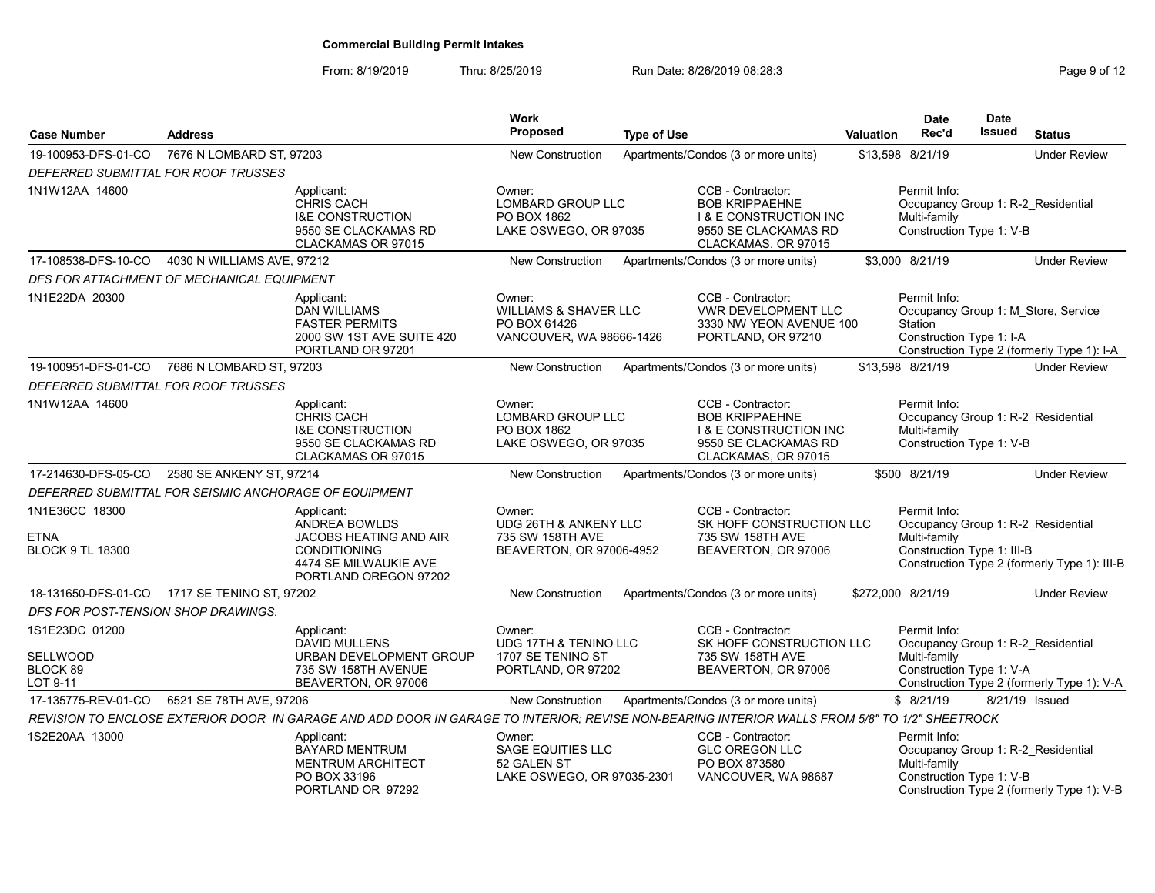From: 8/19/2019 Thru: 8/25/2019 Run Date: 8/26/2019 08:28:3

| Page 9 of 12 |  |  |  |  |
|--------------|--|--|--|--|
|--------------|--|--|--|--|

| <b>Case Number</b>                                       | <b>Address</b>                                        |                                                                                                                                               | <b>Work</b><br><b>Proposed</b>                                                         | <b>Type of Use</b> |                                                                                                                                | <b>Valuation</b> | <b>Date</b><br>Rec'd                                                                             | <b>Date</b><br>Issued | <b>Status</b>                                                                     |
|----------------------------------------------------------|-------------------------------------------------------|-----------------------------------------------------------------------------------------------------------------------------------------------|----------------------------------------------------------------------------------------|--------------------|--------------------------------------------------------------------------------------------------------------------------------|------------------|--------------------------------------------------------------------------------------------------|-----------------------|-----------------------------------------------------------------------------------|
| 19-100953-DFS-01-CO                                      | 7676 N LOMBARD ST, 97203                              |                                                                                                                                               | <b>New Construction</b>                                                                |                    | Apartments/Condos (3 or more units)                                                                                            |                  | \$13,598 8/21/19                                                                                 |                       | <b>Under Review</b>                                                               |
|                                                          | DEFERRED SUBMITTAL FOR ROOF TRUSSES                   |                                                                                                                                               |                                                                                        |                    |                                                                                                                                |                  |                                                                                                  |                       |                                                                                   |
| 1N1W12AA 14600                                           |                                                       | Applicant:<br>CHRIS CACH<br><b>I&amp;E CONSTRUCTION</b><br>9550 SE CLACKAMAS RD<br>CLACKAMAS OR 97015                                         | Owner:<br><b>LOMBARD GROUP LLC</b><br>PO BOX 1862<br>LAKE OSWEGO, OR 97035             |                    | CCB - Contractor:<br><b>BOB KRIPPAEHNE</b><br><b>1 &amp; E CONSTRUCTION INC</b><br>9550 SE CLACKAMAS RD<br>CLACKAMAS, OR 97015 |                  | Permit Info:<br>Occupancy Group 1: R-2 Residential<br>Multi-family<br>Construction Type 1: V-B   |                       |                                                                                   |
| 17-108538-DFS-10-CO                                      | 4030 N WILLIAMS AVE, 97212                            |                                                                                                                                               | <b>New Construction</b>                                                                |                    | Apartments/Condos (3 or more units)                                                                                            |                  | \$3,000 8/21/19                                                                                  |                       | <b>Under Review</b>                                                               |
|                                                          | DFS FOR ATTACHMENT OF MECHANICAL EQUIPMENT            |                                                                                                                                               |                                                                                        |                    |                                                                                                                                |                  |                                                                                                  |                       |                                                                                   |
| 1N1E22DA 20300                                           |                                                       | Applicant:<br><b>DAN WILLIAMS</b><br><b>FASTER PERMITS</b><br>2000 SW 1ST AVE SUITE 420<br>PORTLAND OR 97201                                  | Owner:<br><b>WILLIAMS &amp; SHAVER LLC</b><br>PO BOX 61426<br>VANCOUVER, WA 98666-1426 |                    | CCB - Contractor:<br><b>VWR DEVELOPMENT LLC</b><br>3330 NW YEON AVENUE 100<br>PORTLAND, OR 97210                               |                  | Permit Info:<br>Station<br>Construction Type 1: I-A                                              |                       | Occupancy Group 1: M Store, Service<br>Construction Type 2 (formerly Type 1): I-A |
| 19-100951-DFS-01-CO                                      | 7686 N LOMBARD ST, 97203                              |                                                                                                                                               | <b>New Construction</b>                                                                |                    | Apartments/Condos (3 or more units)                                                                                            |                  | \$13,598 8/21/19                                                                                 |                       | <b>Under Review</b>                                                               |
|                                                          | DEFERRED SUBMITTAL FOR ROOF TRUSSES                   |                                                                                                                                               |                                                                                        |                    |                                                                                                                                |                  |                                                                                                  |                       |                                                                                   |
| 1N1W12AA 14600                                           |                                                       | Applicant:<br><b>CHRIS CACH</b><br><b>I&amp;E CONSTRUCTION</b><br>9550 SE CLACKAMAS RD<br>CLACKAMAS OR 97015                                  | Owner:<br>LOMBARD GROUP LLC<br>PO BOX 1862<br>LAKE OSWEGO, OR 97035                    |                    | CCB - Contractor:<br><b>BOB KRIPPAEHNE</b><br><b>I &amp; E CONSTRUCTION INC</b><br>9550 SE CLACKAMAS RD<br>CLACKAMAS, OR 97015 |                  | Permit Info:<br>Occupancy Group 1: R-2_Residential<br>Multi-family<br>Construction Type 1: V-B   |                       |                                                                                   |
| 17-214630-DFS-05-CO                                      | 2580 SE ANKENY ST, 97214                              |                                                                                                                                               | <b>New Construction</b>                                                                |                    | Apartments/Condos (3 or more units)                                                                                            |                  | \$500 8/21/19                                                                                    |                       | <b>Under Review</b>                                                               |
|                                                          | DEFERRED SUBMITTAL FOR SEISMIC ANCHORAGE OF EQUIPMENT |                                                                                                                                               |                                                                                        |                    |                                                                                                                                |                  |                                                                                                  |                       |                                                                                   |
| 1N1E36CC 18300<br><b>ETNA</b><br><b>BLOCK 9 TL 18300</b> |                                                       | Applicant:<br>ANDREA BOWLDS<br>JACOBS HEATING AND AIR<br><b>CONDITIONING</b><br>4474 SE MILWAUKIE AVE<br>PORTLAND OREGON 97202                | Owner:<br>UDG 26TH & ANKENY LLC<br>735 SW 158TH AVE<br>BEAVERTON, OR 97006-4952        |                    | CCB - Contractor:<br>SK HOFF CONSTRUCTION LLC<br>735 SW 158TH AVE<br>BEAVERTON, OR 97006                                       |                  | Permit Info:<br>Occupancy Group 1: R-2 Residential<br>Multi-family<br>Construction Type 1: III-B |                       | Construction Type 2 (formerly Type 1): III-B                                      |
| 18-131650-DFS-01-CO                                      | 1717 SE TENINO ST, 97202                              |                                                                                                                                               | <b>New Construction</b>                                                                |                    | Apartments/Condos (3 or more units)                                                                                            |                  | \$272,000 8/21/19                                                                                |                       | <b>Under Review</b>                                                               |
| DFS FOR POST-TENSION SHOP DRAWINGS.                      |                                                       |                                                                                                                                               |                                                                                        |                    |                                                                                                                                |                  |                                                                                                  |                       |                                                                                   |
| 1S1E23DC 01200<br>SELLWOOD<br>BLOCK 89<br>LOT 9-11       |                                                       | Applicant:<br><b>DAVID MULLENS</b><br>URBAN DEVELOPMENT GROUP<br>735 SW 158TH AVENUE<br>BEAVERTON, OR 97006                                   | Owner:<br>UDG 17TH & TENINO LLC<br>1707 SE TENINO ST<br>PORTLAND, OR 97202             |                    | CCB - Contractor:<br>SK HOFF CONSTRUCTION LLC<br>735 SW 158TH AVE<br>BEAVERTON, OR 97006                                       |                  | Permit Info:<br>Occupancy Group 1: R-2 Residential<br>Multi-family<br>Construction Type 1: V-A   |                       | Construction Type 2 (formerly Type 1): V-A                                        |
| 17-135775-REV-01-CO                                      | 6521 SE 78TH AVE, 97206                               |                                                                                                                                               | <b>New Construction</b>                                                                |                    | Apartments/Condos (3 or more units)                                                                                            |                  | \$8/21/19                                                                                        |                       | 8/21/19 Issued                                                                    |
|                                                          |                                                       | REVISION TO ENCLOSE EXTERIOR DOOR IN GARAGE AND ADD DOOR IN GARAGE TO INTERIOR; REVISE NON-BEARING INTERIOR WALLS FROM 5/8" TO 1/2" SHEETROCK |                                                                                        |                    |                                                                                                                                |                  |                                                                                                  |                       |                                                                                   |
| 1S2E20AA 13000                                           |                                                       | Applicant:<br><b>BAYARD MENTRUM</b><br><b>MENTRUM ARCHITECT</b><br>PO BOX 33196<br>PORTLAND OR 97292                                          | Owner:<br>SAGE EQUITIES LLC<br>52 GALEN ST<br>LAKE OSWEGO, OR 97035-2301               |                    | CCB - Contractor:<br><b>GLC OREGON LLC</b><br>PO BOX 873580<br>VANCOUVER, WA 98687                                             |                  | Permit Info:<br>Occupancy Group 1: R-2_Residential<br>Multi-family<br>Construction Type 1: V-B   |                       | Construction Type 2 (formerly Type 1): V-B                                        |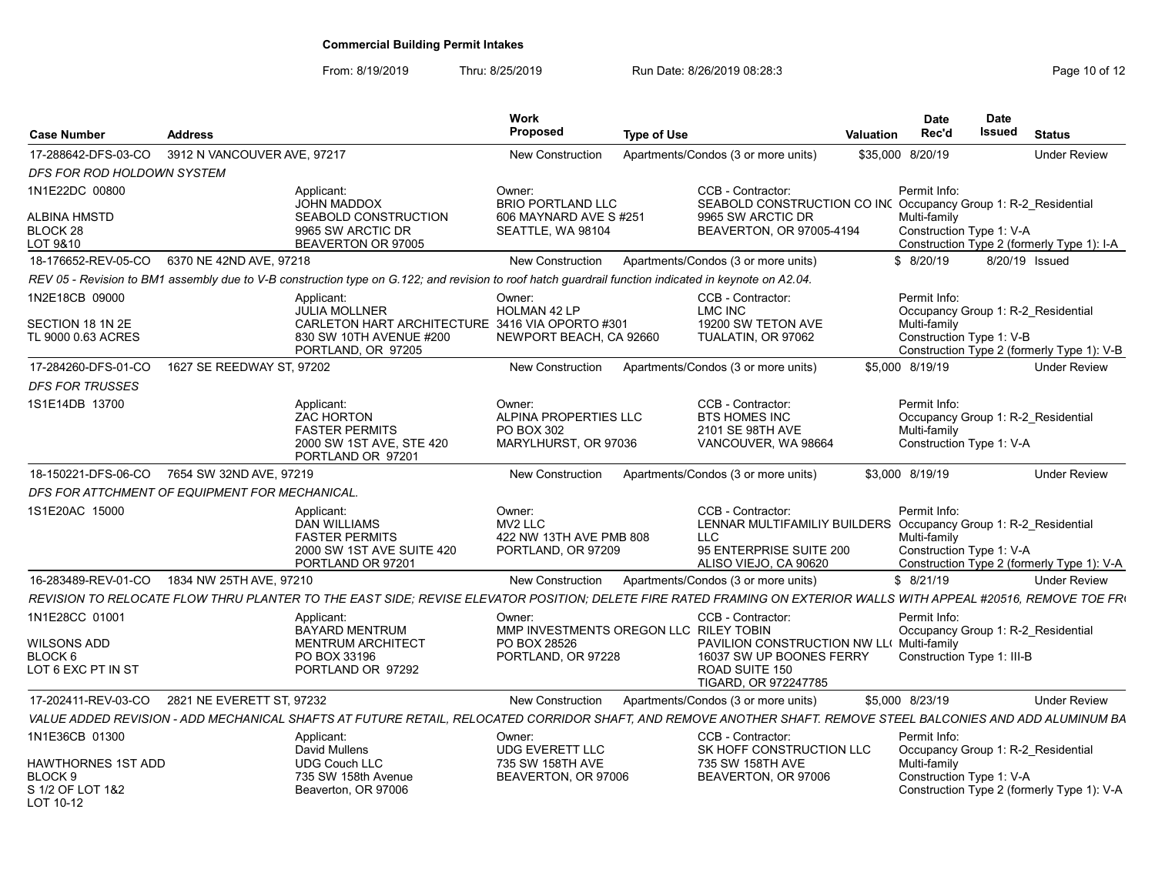From: 8/19/2019 Thru: 8/25/2019 Run Date: 8/26/2019 08:28:3

| <b>Case Number</b>                                                        | <b>Address</b>                                                                                                                                                    | <b>Work</b><br>Proposed                                                    | <b>Type of Use</b>                                                                                                  | <b>Valuation</b> | <b>Date</b><br>Rec'd                                     | <b>Date</b><br>Issued | <b>Status</b>                                                                    |
|---------------------------------------------------------------------------|-------------------------------------------------------------------------------------------------------------------------------------------------------------------|----------------------------------------------------------------------------|---------------------------------------------------------------------------------------------------------------------|------------------|----------------------------------------------------------|-----------------------|----------------------------------------------------------------------------------|
| 17-288642-DFS-03-CO                                                       | 3912 N VANCOUVER AVE, 97217                                                                                                                                       | <b>New Construction</b>                                                    | Apartments/Condos (3 or more units)                                                                                 |                  | \$35,000 8/20/19                                         |                       | <b>Under Review</b>                                                              |
| DFS FOR ROD HOLDOWN SYSTEM                                                |                                                                                                                                                                   |                                                                            |                                                                                                                     |                  |                                                          |                       |                                                                                  |
| 1N1E22DC 00800                                                            | Applicant:<br>JOHN MADDOX                                                                                                                                         | Owner:<br><b>BRIO PORTLAND LLC</b>                                         | CCB - Contractor:<br>SEABOLD CONSTRUCTION CO INC Occupancy Group 1: R-2 Residential                                 |                  | Permit Info:                                             |                       |                                                                                  |
| ALBINA HMSTD<br>BLOCK 28<br>LOT 9&10                                      | SEABOLD CONSTRUCTION<br>9965 SW ARCTIC DR<br>BEAVERTON OR 97005                                                                                                   | 606 MAYNARD AVE S #251<br>SEATTLE, WA 98104                                | 9965 SW ARCTIC DR<br>BEAVERTON, OR 97005-4194                                                                       |                  | Multi-family<br>Construction Type 1: V-A                 |                       | Construction Type 2 (formerly Type 1): I-A                                       |
| 18-176652-REV-05-CO                                                       | 6370 NE 42ND AVE, 97218                                                                                                                                           | <b>New Construction</b>                                                    | Apartments/Condos (3 or more units)                                                                                 |                  | \$8/20/19                                                |                       | 8/20/19 Issued                                                                   |
|                                                                           | REV 05 - Revision to BM1 assembly due to V-B construction type on G.122; and revision to roof hatch guardrail function indicated in keynote on A2.04.             |                                                                            |                                                                                                                     |                  |                                                          |                       |                                                                                  |
| 1N2E18CB 09000                                                            | Applicant:<br>JULIA MOLLNER                                                                                                                                       | Owner:<br>HOLMAN 42 LP                                                     | CCB - Contractor:<br>LMC INC                                                                                        |                  | Permit Info:                                             |                       | Occupancy Group 1: R-2 Residential                                               |
| SECTION 18 1N 2E<br>TL 9000 0.63 ACRES                                    | 830 SW 10TH AVENUE #200<br>PORTLAND, OR 97205                                                                                                                     | CARLETON HART ARCHITECTURE 3416 VIA OPORTO #301<br>NEWPORT BEACH, CA 92660 | 19200 SW TETON AVE<br>TUALATIN, OR 97062                                                                            |                  | Multi-family<br>Construction Type 1: V-B                 |                       | Construction Type 2 (formerly Type 1): V-B                                       |
| 17-284260-DFS-01-CO                                                       | 1627 SE REEDWAY ST, 97202                                                                                                                                         | <b>New Construction</b>                                                    | Apartments/Condos (3 or more units)                                                                                 |                  | \$5,000 8/19/19                                          |                       | <b>Under Review</b>                                                              |
| <b>DFS FOR TRUSSES</b>                                                    |                                                                                                                                                                   |                                                                            |                                                                                                                     |                  |                                                          |                       |                                                                                  |
| 1S1E14DB 13700                                                            | Applicant:<br>ZAC HORTON<br><b>FASTER PERMITS</b><br>2000 SW 1ST AVE, STE 420<br>PORTLAND OR 97201                                                                | Owner:<br>ALPINA PROPERTIES LLC<br>PO BOX 302<br>MARYLHURST, OR 97036      | CCB - Contractor:<br><b>BTS HOMES INC</b><br>2101 SE 98TH AVE<br>VANCOUVER, WA 98664                                |                  | Permit Info:<br>Multi-family<br>Construction Type 1: V-A |                       | Occupancy Group 1: R-2 Residential                                               |
| 18-150221-DFS-06-CO                                                       | 7654 SW 32ND AVE, 97219                                                                                                                                           | <b>New Construction</b>                                                    | Apartments/Condos (3 or more units)                                                                                 |                  | \$3,000 8/19/19                                          |                       | <b>Under Review</b>                                                              |
|                                                                           | DFS FOR ATTCHMENT OF EQUIPMENT FOR MECHANICAL.                                                                                                                    |                                                                            |                                                                                                                     |                  |                                                          |                       |                                                                                  |
| 1S1E20AC 15000                                                            | Applicant:<br><b>DAN WILLIAMS</b><br><b>FASTER PERMITS</b><br>2000 SW 1ST AVE SUITE 420<br>PORTLAND OR 97201                                                      | Owner:<br>MV2 LLC<br>422 NW 13TH AVE PMB 808<br>PORTLAND, OR 97209         | CCB - Contractor:<br>LENNAR MULTIFAMILIY BUILDERS<br><b>LLC</b><br>95 ENTERPRISE SUITE 200<br>ALISO VIEJO, CA 90620 |                  | Permit Info:<br>Multi-family<br>Construction Type 1: V-A |                       | Occupancy Group 1: R-2 Residential<br>Construction Type 2 (formerly Type 1): V-A |
| 16-283489-REV-01-CO                                                       | 1834 NW 25TH AVE, 97210                                                                                                                                           | <b>New Construction</b>                                                    | Apartments/Condos (3 or more units)                                                                                 |                  | \$8/21/19                                                |                       | <b>Under Review</b>                                                              |
|                                                                           | REVISION TO RELOCATE FLOW THRU PLANTER TO THE EAST SIDE: REVISE ELEVATOR POSITION: DELETE FIRE RATED FRAMING ON EXTERIOR WALLS WITH APPEAL #20516. REMOVE TOE FRI |                                                                            |                                                                                                                     |                  |                                                          |                       |                                                                                  |
| 1N1E28CC 01001                                                            | Applicant:<br><b>BAYARD MENTRUM</b>                                                                                                                               | Owner:                                                                     | CCB - Contractor:<br>MMP INVESTMENTS OREGON LLC RILEY TOBIN                                                         |                  | Permit Info:                                             |                       | Occupancy Group 1: R-2 Residential                                               |
| <b>WILSONS ADD</b><br>BLOCK 6                                             | <b>MENTRUM ARCHITECT</b><br>PO BOX 33196                                                                                                                          | PO BOX 28526<br>PORTLAND, OR 97228                                         | PAVILION CONSTRUCTION NW LL( Multi-family<br>16037 SW UP BOONES FERRY                                               |                  | Construction Type 1: III-B                               |                       |                                                                                  |
| LOT 6 EXC PT IN ST                                                        | PORTLAND OR 97292                                                                                                                                                 |                                                                            | ROAD SUITE 150<br>TIGARD, OR 972247785                                                                              |                  |                                                          |                       |                                                                                  |
| 17-202411-REV-03-CO                                                       | 2821 NE EVERETT ST, 97232                                                                                                                                         | <b>New Construction</b>                                                    | Apartments/Condos (3 or more units)                                                                                 |                  | \$5,000 8/23/19                                          |                       | <b>Under Review</b>                                                              |
|                                                                           | VALUE ADDED REVISION - ADD MECHANICAL SHAFTS AT FUTURE RETAIL, RELOCATED CORRIDOR SHAFT, AND REMOVE ANOTHER SHAFT. REMOVE STEEL BALCONIES AND ADD ALUMINUM BA     |                                                                            |                                                                                                                     |                  |                                                          |                       |                                                                                  |
| 1N1E36CB 01300                                                            | Applicant:<br>David Mullens                                                                                                                                       | Owner:<br><b>UDG EVERETT LLC</b>                                           | CCB - Contractor:<br>SK HOFF CONSTRUCTION LLC                                                                       |                  | Permit Info:                                             |                       | Occupancy Group 1: R-2 Residential                                               |
| HAWTHORNES 1ST ADD<br>BLOCK <sub>9</sub><br>S 1/2 OF LOT 1&2<br>LOT 10-12 | <b>UDG Couch LLC</b><br>735 SW 158th Avenue<br>Beaverton, OR 97006                                                                                                | 735 SW 158TH AVE<br>BEAVERTON, OR 97006                                    | 735 SW 158TH AVE<br>BEAVERTON, OR 97006                                                                             |                  | Multi-family<br>Construction Type 1: V-A                 |                       | Construction Type 2 (formerly Type 1): V-A                                       |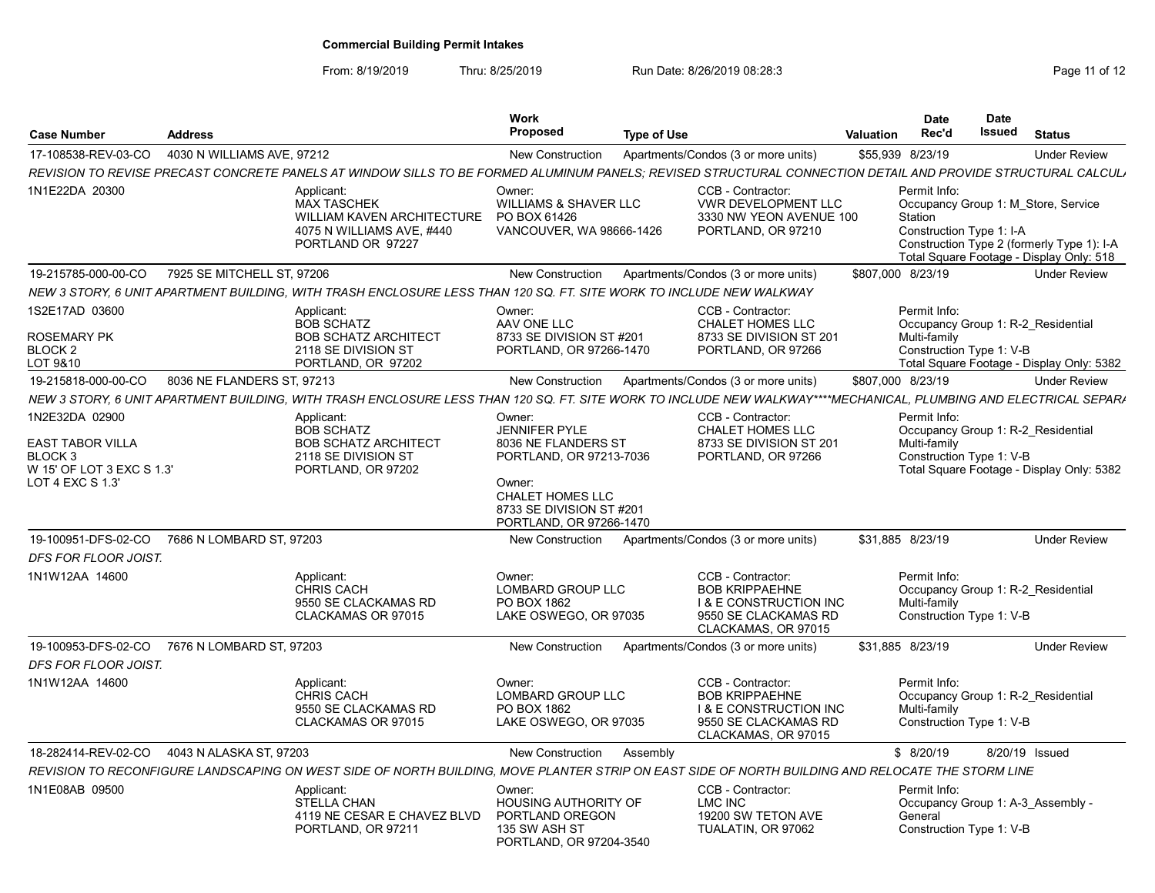From: 8/19/2019 Thru: 8/25/2019 Run Date: 8/26/2019 08:28:3

| Case Number                                                                                               | <b>Address</b>             |                                                                                                                                                                   | <b>Work</b><br><b>Proposed</b>                                                                                                                                               | <b>Type of Use</b> |                                                                                                                                | <b>Valuation</b> | <b>Date</b><br>Rec'd                                                                           | Date<br>Issued | <b>Status</b>                                                                                                                 |
|-----------------------------------------------------------------------------------------------------------|----------------------------|-------------------------------------------------------------------------------------------------------------------------------------------------------------------|------------------------------------------------------------------------------------------------------------------------------------------------------------------------------|--------------------|--------------------------------------------------------------------------------------------------------------------------------|------------------|------------------------------------------------------------------------------------------------|----------------|-------------------------------------------------------------------------------------------------------------------------------|
| 17-108538-REV-03-CO                                                                                       | 4030 N WILLIAMS AVE, 97212 |                                                                                                                                                                   | <b>New Construction</b>                                                                                                                                                      |                    | Apartments/Condos (3 or more units)                                                                                            |                  | \$55,939 8/23/19                                                                               |                | <b>Under Review</b>                                                                                                           |
|                                                                                                           |                            | REVISION TO REVISE PRECAST CONCRETE PANELS AT WINDOW SILLS TO BE FORMED ALUMINUM PANELS; REVISED STRUCTURAL CONNECTION DETAIL AND PROVIDE STRUCTURAL CALCUL/      |                                                                                                                                                                              |                    |                                                                                                                                |                  |                                                                                                |                |                                                                                                                               |
| 1N1E22DA 20300                                                                                            |                            | Applicant:<br><b>MAX TASCHEK</b><br><b>WILLIAM KAVEN ARCHITECTURE</b><br>4075 N WILLIAMS AVE, #440<br>PORTLAND OR 97227                                           | Owner:<br>WILLIAMS & SHAVER LLC<br>PO BOX 61426<br>VANCOUVER, WA 98666-1426                                                                                                  |                    | CCB - Contractor:<br>VWR DEVELOPMENT LLC<br>3330 NW YEON AVENUE 100<br>PORTLAND, OR 97210                                      |                  | Permit Info:<br>Station<br>Construction Type 1: I-A                                            |                | Occupancy Group 1: M_Store, Service<br>Construction Type 2 (formerly Type 1): I-A<br>Total Square Footage - Display Only: 518 |
| 19-215785-000-00-CO                                                                                       | 7925 SE MITCHELL ST, 97206 |                                                                                                                                                                   | New Construction                                                                                                                                                             |                    | Apartments/Condos (3 or more units)                                                                                            |                  | \$807,000 8/23/19                                                                              |                | <b>Under Review</b>                                                                                                           |
|                                                                                                           |                            | NEW 3 STORY. 6 UNIT APARTMENT BUILDING. WITH TRASH ENCLOSURE LESS THAN 120 SQ. FT. SITE WORK TO INCLUDE NEW WALKWAY                                               |                                                                                                                                                                              |                    |                                                                                                                                |                  |                                                                                                |                |                                                                                                                               |
| 1S2E17AD 03600<br>ROSEMARY PK<br>BLOCK 2<br>LOT 9&10                                                      |                            | Applicant:<br><b>BOB SCHATZ</b><br><b>BOB SCHATZ ARCHITECT</b><br>2118 SE DIVISION ST<br>PORTLAND, OR 97202                                                       | Owner:<br>AAV ONE LLC<br>8733 SE DIVISION ST #201<br>PORTLAND, OR 97266-1470                                                                                                 |                    | CCB - Contractor:<br>CHALET HOMES LLC<br>8733 SE DIVISION ST 201<br>PORTLAND, OR 97266                                         |                  | Permit Info:<br>Occupancy Group 1: R-2 Residential<br>Multi-family<br>Construction Type 1: V-B |                | Total Square Footage - Display Only: 5382                                                                                     |
| 19-215818-000-00-CO                                                                                       | 8036 NE FLANDERS ST, 97213 |                                                                                                                                                                   | New Construction                                                                                                                                                             |                    | Apartments/Condos (3 or more units)                                                                                            |                  | \$807,000 8/23/19                                                                              |                | <b>Under Review</b>                                                                                                           |
|                                                                                                           |                            | NEW 3 STORY, 6 UNIT APARTMENT BUILDING, WITH TRASH ENCLOSURE LESS THAN 120 SQ. FT. SITE WORK TO INCLUDE NEW WALKWAY****MECHANICAL, PLUMBING AND ELECTRICAL SEPARA |                                                                                                                                                                              |                    |                                                                                                                                |                  |                                                                                                |                |                                                                                                                               |
| 1N2E32DA 02900<br>EAST TABOR VILLA<br>BLOCK <sub>3</sub><br>W 15' OF LOT 3 EXC S 1.3'<br>LOT 4 EXC S 1.3' |                            | Applicant:<br><b>BOB SCHATZ</b><br><b>BOB SCHATZ ARCHITECT</b><br>2118 SE DIVISION ST<br>PORTLAND, OR 97202                                                       | Owner:<br><b>JENNIFER PYLE</b><br>8036 NE FLANDERS ST<br>PORTLAND, OR 97213-7036<br>Owner:<br><b>CHALET HOMES LLC</b><br>8733 SE DIVISION ST #201<br>PORTLAND, OR 97266-1470 |                    | CCB - Contractor:<br>CHALET HOMES LLC<br>8733 SE DIVISION ST 201<br>PORTLAND, OR 97266                                         |                  | Permit Info:<br>Occupancy Group 1: R-2_Residential<br>Multi-family<br>Construction Type 1: V-B |                | Total Square Footage - Display Only: 5382                                                                                     |
| 19-100951-DFS-02-CO                                                                                       | 7686 N LOMBARD ST, 97203   |                                                                                                                                                                   | New Construction                                                                                                                                                             |                    | Apartments/Condos (3 or more units)                                                                                            |                  | \$31,885 8/23/19                                                                               |                | <b>Under Review</b>                                                                                                           |
| <b>DFS FOR FLOOR JOIST.</b>                                                                               |                            |                                                                                                                                                                   |                                                                                                                                                                              |                    |                                                                                                                                |                  |                                                                                                |                |                                                                                                                               |
| 1N1W12AA 14600                                                                                            |                            | Applicant:<br><b>CHRIS CACH</b><br>9550 SE CLACKAMAS RD<br>CLACKAMAS OR 97015                                                                                     | Owner:<br>LOMBARD GROUP LLC<br>PO BOX 1862<br>LAKE OSWEGO, OR 97035                                                                                                          |                    | CCB - Contractor:<br><b>BOB KRIPPAEHNE</b><br><b>I &amp; E CONSTRUCTION INC</b><br>9550 SE CLACKAMAS RD<br>CLACKAMAS, OR 97015 |                  | Permit Info:<br>Occupancy Group 1: R-2 Residential<br>Multi-family<br>Construction Type 1: V-B |                |                                                                                                                               |
| 19-100953-DFS-02-CO                                                                                       | 7676 N LOMBARD ST. 97203   |                                                                                                                                                                   | New Construction                                                                                                                                                             |                    | Apartments/Condos (3 or more units)                                                                                            |                  | \$31.885 8/23/19                                                                               |                | <b>Under Review</b>                                                                                                           |
| <b>DFS FOR FLOOR JOIST.</b>                                                                               |                            |                                                                                                                                                                   |                                                                                                                                                                              |                    |                                                                                                                                |                  |                                                                                                |                |                                                                                                                               |
| 1N1W12AA 14600                                                                                            |                            | Applicant:<br><b>CHRIS CACH</b><br>9550 SE CLACKAMAS RD<br>CLACKAMAS OR 97015                                                                                     | Owner:<br><b>LOMBARD GROUP LLC</b><br>PO BOX 1862<br>LAKE OSWEGO, OR 97035                                                                                                   |                    | CCB - Contractor:<br><b>BOB KRIPPAEHNE</b><br><b>I &amp; E CONSTRUCTION INC</b><br>9550 SE CLACKAMAS RD<br>CLACKAMAS, OR 97015 |                  | Permit Info:<br>Occupancy Group 1: R-2_Residential<br>Multi-family<br>Construction Type 1: V-B |                |                                                                                                                               |
| 18-282414-REV-02-CO                                                                                       | 4043 N ALASKA ST, 97203    |                                                                                                                                                                   | New Construction                                                                                                                                                             | Assembly           |                                                                                                                                |                  | \$8/20/19                                                                                      | 8/20/19 Issued |                                                                                                                               |
|                                                                                                           |                            | REVISION TO RECONFIGURE LANDSCAPING ON WEST SIDE OF NORTH BUILDING. MOVE PLANTER STRIP ON EAST SIDE OF NORTH BUILDING AND RELOCATE THE STORM LINE                 |                                                                                                                                                                              |                    |                                                                                                                                |                  |                                                                                                |                |                                                                                                                               |
| 1N1E08AB 09500                                                                                            |                            | Applicant:<br><b>STELLA CHAN</b><br>4119 NE CESAR E CHAVEZ BLVD<br>PORTLAND, OR 97211                                                                             | Owner:<br><b>HOUSING AUTHORITY OF</b><br>PORTLAND OREGON<br>135 SW ASH ST<br>PORTLAND, OR 97204-3540                                                                         |                    | CCB - Contractor:<br><b>LMC INC</b><br>19200 SW TETON AVE<br>TUALATIN, OR 97062                                                |                  | Permit Info:<br>Occupancy Group 1: A-3 Assembly -<br>General<br>Construction Type 1: V-B       |                |                                                                                                                               |